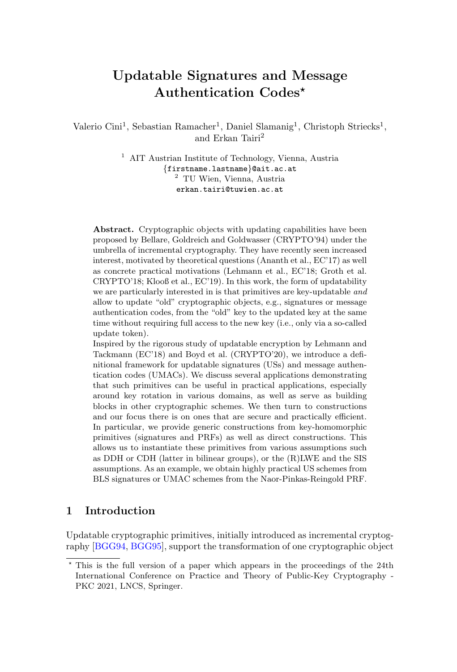# Updatable Signatures and Message Authentication Codes?

Valerio Cini<sup>1</sup>, Sebastian Ramacher<sup>1</sup>, Daniel Slamanig<sup>1</sup>, Christoph Striecks<sup>1</sup>, and Erkan Tairi<sup>2</sup>

> <sup>1</sup> AIT Austrian Institute of Technology, Vienna, Austria {firstname.lastname}@ait.ac.at <sup>2</sup> TU Wien, Vienna, Austria erkan.tairi@tuwien.ac.at

Abstract. Cryptographic objects with updating capabilities have been proposed by Bellare, Goldreich and Goldwasser (CRYPTO'94) under the umbrella of incremental cryptography. They have recently seen increased interest, motivated by theoretical questions (Ananth et al., EC'17) as well as concrete practical motivations (Lehmann et al., EC'18; Groth et al. CRYPTO'18; Klooß et al., EC'19). In this work, the form of updatability we are particularly interested in is that primitives are key-updatable and allow to update "old" cryptographic objects, e.g., signatures or message authentication codes, from the "old" key to the updated key at the same time without requiring full access to the new key (i.e., only via a so-called update token).

Inspired by the rigorous study of updatable encryption by Lehmann and Tackmann (EC'18) and Boyd et al. (CRYPTO'20), we introduce a definitional framework for updatable signatures (USs) and message authentication codes (UMACs). We discuss several applications demonstrating that such primitives can be useful in practical applications, especially around key rotation in various domains, as well as serve as building blocks in other cryptographic schemes. We then turn to constructions and our focus there is on ones that are secure and practically efficient. In particular, we provide generic constructions from key-homomorphic primitives (signatures and PRFs) as well as direct constructions. This allows us to instantiate these primitives from various assumptions such as DDH or CDH (latter in bilinear groups), or the (R)LWE and the SIS assumptions. As an example, we obtain highly practical US schemes from BLS signatures or UMAC schemes from the Naor-Pinkas-Reingold PRF.

## 1 Introduction

Updatable cryptographic primitives, initially introduced as incremental cryptography [\[BGG94,](#page-30-0) [BGG95\]](#page-30-1), support the transformation of one cryptographic object

<sup>?</sup> This is the full version of a paper which appears in the proceedings of the 24th International Conference on Practice and Theory of Public-Key Cryptography - PKC 2021, LNCS, Springer.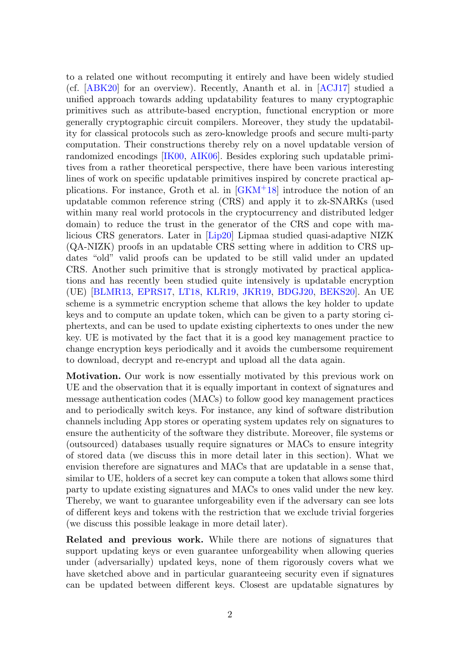to a related one without recomputing it entirely and have been widely studied (cf. [\[ABK20\]](#page-29-0) for an overview). Recently, Ananth et al. in [\[ACJ17\]](#page-29-1) studied a unified approach towards adding updatability features to many cryptographic primitives such as attribute-based encryption, functional encryption or more generally cryptographic circuit compilers. Moreover, they study the updatability for classical protocols such as zero-knowledge proofs and secure multi-party computation. Their constructions thereby rely on a novel updatable version of randomized encodings [\[IK00,](#page-32-0) [AIK06\]](#page-29-2). Besides exploring such updatable primitives from a rather theoretical perspective, there have been various interesting lines of work on specific updatable primitives inspired by concrete practical applications. For instance, Groth et al. in [\[GKM](#page-32-1)<sup>+</sup>18] introduce the notion of an updatable common reference string (CRS) and apply it to zk-SNARKs (used within many real world protocols in the cryptocurrency and distributed ledger domain) to reduce the trust in the generator of the CRS and cope with malicious CRS generators. Later in [\[Lip20\]](#page-32-2) Lipmaa studied quasi-adaptive NIZK (QA-NIZK) proofs in an updatable CRS setting where in addition to CRS updates "old" valid proofs can be updated to be still valid under an updated CRS. Another such primitive that is strongly motivated by practical applications and has recently been studied quite intensively is updatable encryption (UE) [\[BLMR13,](#page-30-2) [EPRS17,](#page-31-0) [LT18,](#page-33-0) [KLR19,](#page-32-3) [JKR19,](#page-32-4) [BDGJ20,](#page-30-3) [BEKS20\]](#page-30-4). An UE scheme is a symmetric encryption scheme that allows the key holder to update keys and to compute an update token, which can be given to a party storing ciphertexts, and can be used to update existing ciphertexts to ones under the new key. UE is motivated by the fact that it is a good key management practice to change encryption keys periodically and it avoids the cumbersome requirement to download, decrypt and re-encrypt and upload all the data again.

Motivation. Our work is now essentially motivated by this previous work on UE and the observation that it is equally important in context of signatures and message authentication codes (MACs) to follow good key management practices and to periodically switch keys. For instance, any kind of software distribution channels including App stores or operating system updates rely on signatures to ensure the authenticity of the software they distribute. Moreover, file systems or (outsourced) databases usually require signatures or MACs to ensure integrity of stored data (we discuss this in more detail later in this section). What we envision therefore are signatures and MACs that are updatable in a sense that, similar to UE, holders of a secret key can compute a token that allows some third party to update existing signatures and MACs to ones valid under the new key. Thereby, we want to guarantee unforgeability even if the adversary can see lots of different keys and tokens with the restriction that we exclude trivial forgeries (we discuss this possible leakage in more detail later).

Related and previous work. While there are notions of signatures that support updating keys or even guarantee unforgeability when allowing queries under (adversarially) updated keys, none of them rigorously covers what we have sketched above and in particular guaranteeing security even if signatures can be updated between different keys. Closest are updatable signatures by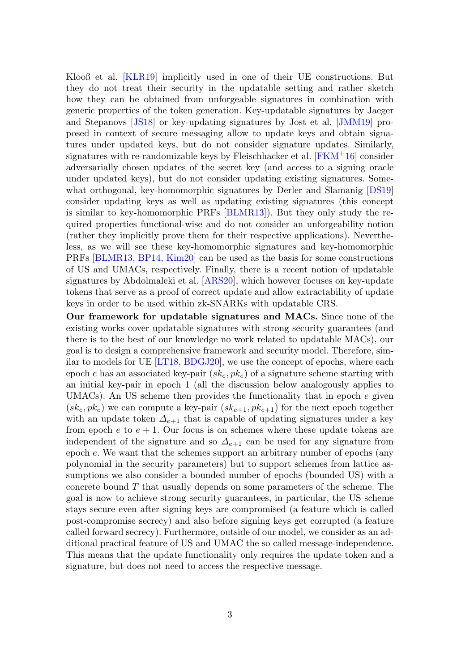Klooß et al. [\[KLR19\]](#page-32-3) implicitly used in one of their UE constructions. But they do not treat their security in the updatable setting and rather sketch how they can be obtained from unforgeable signatures in combination with generic properties of the token generation. Key-updatable signatures by Jaeger and Stepanovs [\[JS18\]](#page-32-5) or key-updating signatures by Jost et al. [\[JMM19\]](#page-32-6) proposed in context of secure messaging allow to update keys and obtain signatures under updated keys, but do not consider signature updates. Similarly, signatures with re-randomizable keys by Fleischhacker et al. [\[FKM](#page-31-1)+16] consider adversarially chosen updates of the secret key (and access to a signing oracle under updated keys), but do not consider updating existing signatures. Somewhat orthogonal, key-homomorphic signatures by Derler and Slamanig  $[DS19]$ consider updating keys as well as updating existing signatures (this concept is similar to key-homomorphic PRFs [\[BLMR13\]](#page-30-2)). But they only study the required properties functional-wise and do not consider an unforgeability notion (rather they implicitly prove them for their respective applications). Nevertheless, as we will see these key-homomorphic signatures and key-homomorphic PRFs [\[BLMR13,](#page-30-2) [BP14,](#page-31-3) [Kim20\]](#page-32-7) can be used as the basis for some constructions of US and UMACs, respectively. Finally, there is a recent notion of updatable signatures by Abdolmaleki et al. [\[ARS20\]](#page-30-5), which however focuses on key-update tokens that serve as a proof of correct update and allow extractability of update keys in order to be used within zk-SNARKs with updatable CRS.

Our framework for updatable signatures and MACs. Since none of the existing works cover updatable signatures with strong security guarantees (and there is to the best of our knowledge no work related to updatable MACs), our goal is to design a comprehensive framework and security model. Therefore, similar to models for UE [\[LT18,](#page-33-0) [BDGJ20\]](#page-30-3), we use the concept of epochs, where each epoch e has an associated key-pair  $(s k_e, p k_e)$  of a signature scheme starting with an initial key-pair in epoch 1 (all the discussion below analogously applies to UMACs). An US scheme then provides the functionality that in epoch  $e$  given  $(s_k, p_k)$  we can compute a key-pair  $(s_{k+1}, p_{k+1})$  for the next epoch together with an update token  $\Delta_{e+1}$  that is capable of updating signatures under a key from epoch  $e$  to  $e + 1$ . Our focus is on schemes where these update tokens are independent of the signature and so  $\Delta_{e+1}$  can be used for any signature from epoch e. We want that the schemes support an arbitrary number of epochs (any polynomial in the security parameters) but to support schemes from lattice assumptions we also consider a bounded number of epochs (bounded US) with a concrete bound  $T$  that usually depends on some parameters of the scheme. The goal is now to achieve strong security guarantees, in particular, the US scheme stays secure even after signing keys are compromised (a feature which is called post-compromise secrecy) and also before signing keys get corrupted (a feature called forward secrecy). Furthermore, outside of our model, we consider as an additional practical feature of US and UMAC the so called message-independence. This means that the update functionality only requires the update token and a signature, but does not need to access the respective message.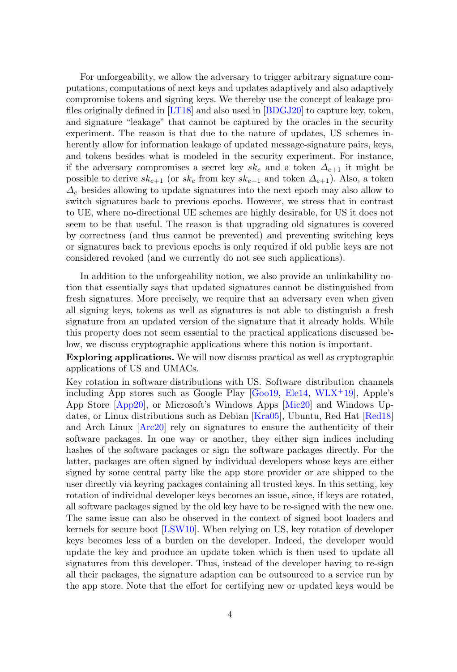For unforgeability, we allow the adversary to trigger arbitrary signature computations, computations of next keys and updates adaptively and also adaptively compromise tokens and signing keys. We thereby use the concept of leakage profiles originally defined in [\[LT18\]](#page-33-0) and also used in [\[BDGJ20\]](#page-30-3) to capture key, token, and signature "leakage" that cannot be captured by the oracles in the security experiment. The reason is that due to the nature of updates, US schemes inherently allow for information leakage of updated message-signature pairs, keys, and tokens besides what is modeled in the security experiment. For instance, if the adversary compromises a secret key  $sk_e$  and a token  $\Delta_{e+1}$  it might be possible to derive  $sk_{e+1}$  (or  $sk_e$  from key  $sk_{e+1}$  and token  $\Delta_{e+1}$ ). Also, a token  $\Delta_e$  besides allowing to update signatures into the next epoch may also allow to switch signatures back to previous epochs. However, we stress that in contrast to UE, where no-directional UE schemes are highly desirable, for US it does not seem to be that useful. The reason is that upgrading old signatures is covered by correctness (and thus cannot be prevented) and preventing switching keys or signatures back to previous epochs is only required if old public keys are not considered revoked (and we currently do not see such applications).

In addition to the unforgeability notion, we also provide an unlinkability notion that essentially says that updated signatures cannot be distinguished from fresh signatures. More precisely, we require that an adversary even when given all signing keys, tokens as well as signatures is not able to distinguish a fresh signature from an updated version of the signature that it already holds. While this property does not seem essential to the practical applications discussed below, we discuss cryptographic applications where this notion is important.

Exploring applications. We will now discuss practical as well as cryptographic applications of US and UMACs.

Key rotation in software distributions with US. Software distribution channels including App stores such as Google Play  $\overline{[Good9]}$ , [Ele14,](#page-31-4) [WLX](#page-33-1)<sup>+</sup>19, Apple's App Store [\[App20\]](#page-30-6), or Microsoft's Windows Apps [\[Mic20\]](#page-33-2) and Windows Updates, or Linux distributions such as Debian [\[Kra05\]](#page-32-9), Ubuntu, Red Hat [\[Red18\]](#page-33-3) and Arch Linux [\[Arc20\]](#page-30-7) rely on signatures to ensure the authenticity of their software packages. In one way or another, they either sign indices including hashes of the software packages or sign the software packages directly. For the latter, packages are often signed by individual developers whose keys are either signed by some central party like the app store provider or are shipped to the user directly via keyring packages containing all trusted keys. In this setting, key rotation of individual developer keys becomes an issue, since, if keys are rotated, all software packages signed by the old key have to be re-signed with the new one. The same issue can also be observed in the context of signed boot loaders and kernels for secure boot [\[LSW10\]](#page-32-10). When relying on US, key rotation of developer keys becomes less of a burden on the developer. Indeed, the developer would update the key and produce an update token which is then used to update all signatures from this developer. Thus, instead of the developer having to re-sign all their packages, the signature adaption can be outsourced to a service run by the app store. Note that the effort for certifying new or updated keys would be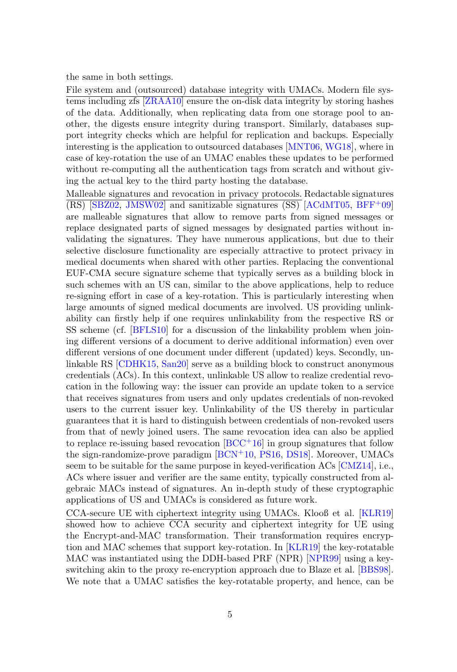the same in both settings.

File system and (outsourced) database integrity with UMACs. Modern file systems including zfs [\[ZRAA10\]](#page-33-4) ensure the on-disk data integrity by storing hashes of the data. Additionally, when replicating data from one storage pool to another, the digests ensure integrity during transport. Similarly, databases support integrity checks which are helpful for replication and backups. Especially interesting is the application to outsourced databases [\[MNT06,](#page-33-5) [WG18\]](#page-33-6), where in case of key-rotation the use of an UMAC enables these updates to be performed without re-computing all the authentication tags from scratch and without giving the actual key to the third party hosting the database.

Malleable signatures and revocation in privacy protocols. Redactable signatures  $(RS)$  [\[SBZ02,](#page-33-7) [JMSW02\]](#page-32-11) and sanitizable signatures (SS) [\[ACdMT05,](#page-29-3) [BFF](#page-30-8)<sup>+</sup>09] are malleable signatures that allow to remove parts from signed messages or replace designated parts of signed messages by designated parties without invalidating the signatures. They have numerous applications, but due to their selective disclosure functionality are especially attractive to protect privacy in medical documents when shared with other parties. Replacing the conventional EUF-CMA secure signature scheme that typically serves as a building block in such schemes with an US can, similar to the above applications, help to reduce re-signing effort in case of a key-rotation. This is particularly interesting when large amounts of signed medical documents are involved. US providing unlinkability can firstly help if one requires unlinkability from the respective RS or SS scheme (cf. [\[BFLS10\]](#page-30-9) for a discussion of the linkability problem when joining different versions of a document to derive additional information) even over different versions of one document under different (updated) keys. Secondly, unlinkable RS [\[CDHK15,](#page-31-5) [San20\]](#page-33-8) serve as a building block to construct anonymous credentials (ACs). In this context, unlinkable US allow to realize credential revocation in the following way: the issuer can provide an update token to a service that receives signatures from users and only updates credentials of non-revoked users to the current issuer key. Unlinkability of the US thereby in particular guarantees that it is hard to distinguish between credentials of non-revoked users from that of newly joined users. The same revocation idea can also be applied to replace re-issuing based revocation  $[BCC+16]$  $[BCC+16]$  in group signatures that follow the sign-randomize-prove paradigm [\[BCN](#page-30-11)<sup>+</sup>10, [PS16,](#page-33-9) [DS18\]](#page-31-6). Moreover, UMACs seem to be suitable for the same purpose in keyed-verification ACs [\[CMZ14\]](#page-31-7), i.e., ACs where issuer and verifier are the same entity, typically constructed from algebraic MACs instead of signatures. An in-depth study of these cryptographic applications of US and UMACs is considered as future work.

CCA-secure UE with ciphertext integrity using UMACs. Klooß et al. [\[KLR19\]](#page-32-3) showed how to achieve CCA security and ciphertext integrity for UE using the Encrypt-and-MAC transformation. Their transformation requires encryption and MAC schemes that support key-rotation. In [\[KLR19\]](#page-32-3) the key-rotatable MAC was instantiated using the DDH-based PRF (NPR) [\[NPR99\]](#page-33-10) using a keyswitching akin to the proxy re-encryption approach due to Blaze et al. [\[BBS98\]](#page-30-12). We note that a UMAC satisfies the key-rotatable property, and hence, can be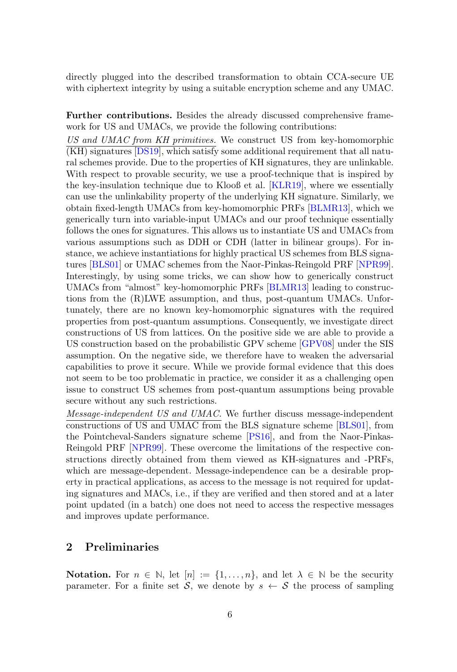directly plugged into the described transformation to obtain CCA-secure UE with ciphertext integrity by using a suitable encryption scheme and any UMAC.

Further contributions. Besides the already discussed comprehensive framework for US and UMACs, we provide the following contributions:

US and UMAC from KH primitives. We construct US from key-homomorphic (KH) signatures [\[DS19\]](#page-31-2), which satisfy some additional requirement that all natural schemes provide. Due to the properties of KH signatures, they are unlinkable. With respect to provable security, we use a proof-technique that is inspired by the key-insulation technique due to Klooß et al. [\[KLR19\]](#page-32-3), where we essentially can use the unlinkability property of the underlying KH signature. Similarly, we obtain fixed-length UMACs from key-homomorphic PRFs [\[BLMR13\]](#page-30-2), which we generically turn into variable-input UMACs and our proof technique essentially follows the ones for signatures. This allows us to instantiate US and UMACs from various assumptions such as DDH or CDH (latter in bilinear groups). For instance, we achieve instantiations for highly practical US schemes from BLS signatures [\[BLS01\]](#page-31-8) or UMAC schemes from the Naor-Pinkas-Reingold PRF [\[NPR99\]](#page-33-10). Interestingly, by using some tricks, we can show how to generically construct UMACs from "almost" key-homomorphic PRFs [\[BLMR13\]](#page-30-2) leading to constructions from the (R)LWE assumption, and thus, post-quantum UMACs. Unfortunately, there are no known key-homomorphic signatures with the required properties from post-quantum assumptions. Consequently, we investigate direct constructions of US from lattices. On the positive side we are able to provide a US construction based on the probabilistic GPV scheme [\[GPV08\]](#page-32-12) under the SIS assumption. On the negative side, we therefore have to weaken the adversarial capabilities to prove it secure. While we provide formal evidence that this does not seem to be too problematic in practice, we consider it as a challenging open issue to construct US schemes from post-quantum assumptions being provable secure without any such restrictions.

Message-independent US and UMAC. We further discuss message-independent constructions of US and UMAC from the BLS signature scheme [\[BLS01\]](#page-31-8), from the Pointcheval-Sanders signature scheme [\[PS16\]](#page-33-9), and from the Naor-Pinkas-Reingold PRF [\[NPR99\]](#page-33-10). These overcome the limitations of the respective constructions directly obtained from them viewed as KH-signatures and -PRFs, which are message-dependent. Message-independence can be a desirable property in practical applications, as access to the message is not required for updating signatures and MACs, i.e., if they are verified and then stored and at a later point updated (in a batch) one does not need to access the respective messages and improves update performance.

## 2 Preliminaries

**Notation.** For  $n \in \mathbb{N}$ , let  $[n] := \{1, \ldots, n\}$ , and let  $\lambda \in \mathbb{N}$  be the security parameter. For a finite set S, we denote by  $s \leftarrow S$  the process of sampling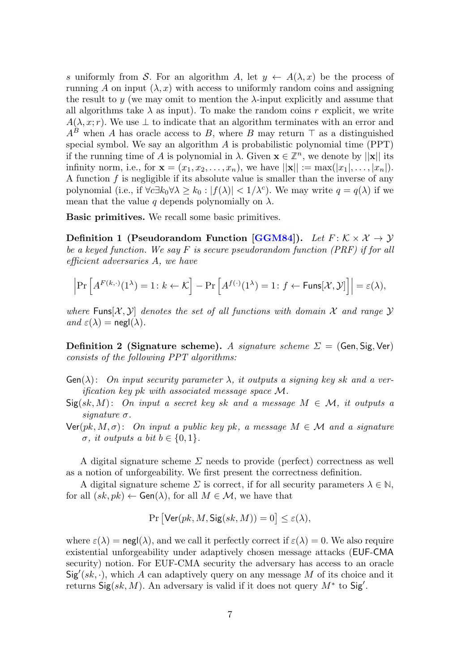s uniformly from S. For an algorithm A, let  $y \leftarrow A(\lambda, x)$  be the process of running A on input  $(\lambda, x)$  with access to uniformly random coins and assigning the result to  $y$  (we may omit to mention the  $\lambda$ -input explicitly and assume that all algorithms take  $\lambda$  as input). To make the random coins r explicit, we write  $A(\lambda, x; r)$ . We use  $\perp$  to indicate that an algorithm terminates with an error and  $A^B$  when A has oracle access to B, where B may return  $\top$  as a distinguished special symbol. We say an algorithm A is probabilistic polynomial time (PPT) if the running time of A is polynomial in  $\lambda$ . Given  $\mathbf{x} \in \mathbb{Z}^n$ , we denote by  $||\mathbf{x}||$  its infinity norm, i.e., for  $\mathbf{x} = (x_1, x_2, ..., x_n)$ , we have  $||\mathbf{x}|| := \max(|x_1|, ..., |x_n|)$ . A function  $f$  is negligible if its absolute value is smaller than the inverse of any polynomial (i.e., if  $\forall c \exists k_0 \forall \lambda \geq k_0 : |f(\lambda)| < 1/\lambda^c$ ). We may write  $q = q(\lambda)$  if we mean that the value q depends polynomially on  $\lambda$ .

Basic primitives. We recall some basic primitives.

Definition 1 (Pseudorandom Function [\[GGM84\]](#page-31-9)). Let  $F: \mathcal{K} \times \mathcal{X} \rightarrow \mathcal{Y}$ be a keyed function. We say  $F$  is secure pseudorandom function  $(PRF)$  if for all efficient adversaries A, we have

$$
\left|\Pr\left[A^{F(k,\cdot)}(1^{\lambda})=1\colon k\leftarrow\mathcal{K}\right]-\Pr\left[A^{f(\cdot)}(1^{\lambda})=1\colon f\leftarrow\mathsf{Funs}[\mathcal{X},\mathcal{Y}]\right]\right|=\varepsilon(\lambda),
$$

where Funs $[\mathcal{X}, \mathcal{Y}]$  denotes the set of all functions with domain X and range Y and  $\varepsilon(\lambda) = \mathsf{negl}(\lambda)$ .

**Definition 2 (Signature scheme).** A signature scheme  $\Sigma = (Gen, Sig, Ver)$ consists of the following PPT algorithms:

- $Gen(\lambda)$ : On input security parameter  $\lambda$ , it outputs a signing key sk and a verification key pk with associated message space M.
- $\textsf{Sig}(sk, M)$ : On input a secret key sk and a message  $M \in \mathcal{M}$ , it outputs a signature  $\sigma$ .
- $\text{Ver}(pk, M, \sigma)$ : On input a public key pk, a message  $M \in \mathcal{M}$  and a signature  $\sigma$ , it outputs a bit  $b \in \{0, 1\}$ .

A digital signature scheme  $\Sigma$  needs to provide (perfect) correctness as well as a notion of unforgeability. We first present the correctness definition.

A digital signature scheme  $\Sigma$  is correct, if for all security parameters  $\lambda \in \mathbb{N}$ , for all  $(sk, pk) \leftarrow$  Gen( $\lambda$ ), for all  $M \in \mathcal{M}$ , we have that

$$
Pr\left[\text{Ver}(pk, M, \text{Sig}(sk, M)) = 0\right] \le \varepsilon(\lambda),
$$

where  $\varepsilon(\lambda) = \text{negl}(\lambda)$ , and we call it perfectly correct if  $\varepsilon(\lambda) = 0$ . We also require existential unforgeability under adaptively chosen message attacks (EUF-CMA security) notion. For EUF-CMA security the adversary has access to an oracle  $Sig'(sk, \cdot)$ , which A can adaptively query on any message M of its choice and it returns  $\textsf{Sig}(sk, M)$ . An adversary is valid if it does not query  $M^*$  to  $\textsf{Sig}'.$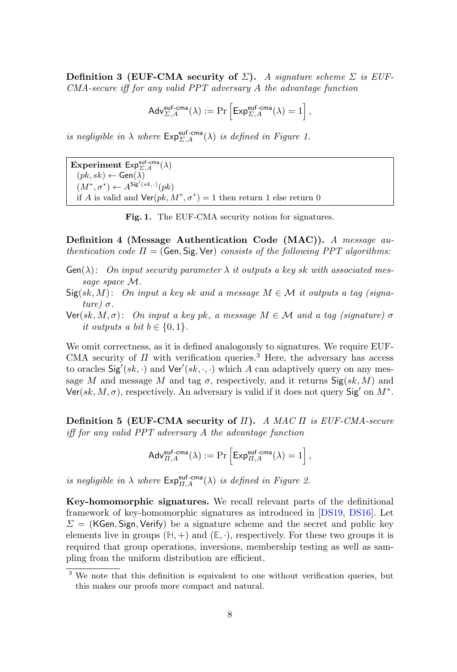Definition 3 (EUF-CMA security of  $\Sigma$ ). A signature scheme  $\Sigma$  is EUF-CMA-secure iff for any valid PPT adversary A the advantage function

$$
\mathsf{Adv}_{\Sigma,A}^{\mathsf{euf-cma}}(\lambda) := \Pr\left[\mathsf{Exp}_{\Sigma,A}^{\mathsf{euf-cma}}(\lambda) = 1\right],
$$

is negligible in  $\lambda$  where  $\mathsf{Exp}_{\Sigma,A}^{\text{euf-cma}}(\lambda)$  is defined in Figure [1.](#page-7-0)

Experiment  $Exp_{\Sigma,A}^{\text{euf-cma}}(\lambda)$  $(pk, sk) \leftarrow$  Gen $(\lambda)$  $(M^*, \sigma^*) \leftarrow A^{\mathsf{Sig}'(sk, \cdot)}(pk)$ if A is valid and  $\textsf{Ver}(pk, M^*, \sigma^*) = 1$  then return 1 else return 0

<span id="page-7-0"></span>Fig. 1. The EUF-CMA security notion for signatures.

Definition 4 (Message Authentication Code (MAC)). A message authentication code  $\Pi = (\mathsf{Gen}, \mathsf{Sig}, \mathsf{Ver})$  consists of the following PPT algorithms:

- $Gen(\lambda):$  On input security parameter  $\lambda$  it outputs a key sk with associated message space M.
- $Sig(sk, M)$ : On input a key sk and a message  $M \in \mathcal{M}$  it outputs a tag (signature) σ.
- $\text{Ver}(sk, M, \sigma)$ : On input a key pk, a message  $M \in \mathcal{M}$  and a tag (signature)  $\sigma$ it outputs a bit  $b \in \{0, 1\}.$

We omit correctness, as it is defined analogously to signatures. We require EUF-CMA security of  $\Pi$  with verification queries.<sup>[3](#page-7-1)</sup> Here, the adversary has access to oracles  $\textsf{Sig}'(sk, \cdot)$  and  $\textsf{Ver}'(sk, \cdot, \cdot)$  which A can adaptively query on any message M and message M and tag  $\sigma$ , respectively, and it returns  $\mathsf{Sig}(sk, M)$  and  $\text{Ver}(sk, M, \sigma)$ , respectively. An adversary is valid if it does not query  $\text{Sig}'$  on  $M^*$ .

Definition 5 (EUF-CMA security of  $\Pi$ ). A MAC  $\Pi$  is EUF-CMA-secure iff for any valid PPT adversary A the advantage function

$$
\mathsf{Adv}_{\Pi,A}^{\mathsf{euf-cma}}(\lambda) := \Pr\left[\mathsf{Exp}_{\Pi,A}^{\mathsf{euf-cma}}(\lambda) = 1\right],
$$

is negligible in  $\lambda$  where  $Exp_{\Pi,A}^{\text{euf-cma}}(\lambda)$  is defined in Figure [2.](#page-8-0)

Key-homomorphic signatures. We recall relevant parts of the definitional framework of key-homomorphic signatures as introduced in [\[DS19,](#page-31-2) [DS16\]](#page-31-10). Let  $\Sigma = (KGen, Sign, Verify)$  be a signature scheme and the secret and public key elements live in groups  $(\mathbb{H}, +)$  and  $(\mathbb{E}, \cdot)$ , respectively. For these two groups it is required that group operations, inversions, membership testing as well as sampling from the uniform distribution are efficient.

<span id="page-7-1"></span><sup>&</sup>lt;sup>3</sup> We note that this definition is equivalent to one without verification queries, but this makes our proofs more compact and natural.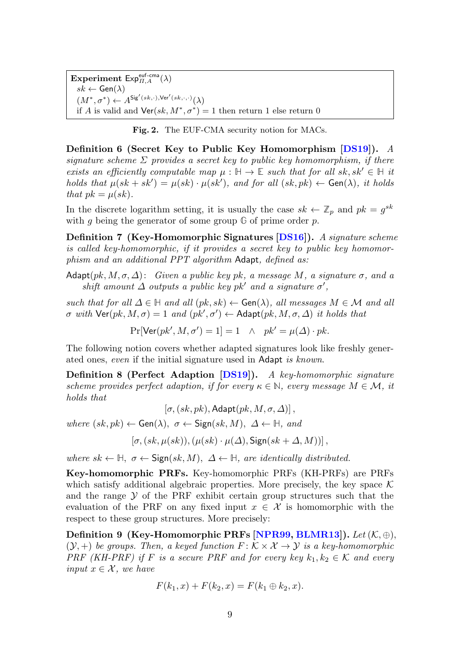Experiment  $Exp_{\Pi,A}^{\text{euf-cma}}(\lambda)$  $sk \leftarrow$  Gen $(\lambda)$  $(M^*, \sigma^*) \leftarrow A^{\mathsf{Sig}'(sk, \cdot), \mathsf{Ver}'(sk, \cdot, \cdot)}(\lambda)$ if A is valid and  $\textsf{Ver}(sk, M^*, \sigma^*) = 1$  then return 1 else return 0

<span id="page-8-0"></span>Fig. 2. The EUF-CMA security notion for MACs.

Definition 6 (Secret Key to Public Key Homomorphism [\[DS19\]](#page-31-2)). A signature scheme  $\Sigma$  provides a secret key to public key homomorphism, if there exists an efficiently computable map  $\mu : \mathbb{H} \to \mathbb{E}$  such that for all sk, sk'  $\in \mathbb{H}$  it holds that  $\mu(sk + sk') = \mu(sk) \cdot \mu(sk')$ , and for all  $(sk, pk) \leftarrow Gen(\lambda)$ , it holds that  $pk = \mu(sk)$ .

In the discrete logarithm setting, it is usually the case  $sk \leftarrow \mathbb{Z}_p$  and  $pk = g^{sk}$ with g being the generator of some group  $\mathbb G$  of prime order p.

<span id="page-8-2"></span>Definition 7 (Key-Homomorphic Signatures [\[DS16\]](#page-31-10)). A signature scheme is called key-homomorphic, if it provides a secret key to public key homomorphism and an additional PPT algorithm Adapt, defined as:

Adapt $(pk, M, \sigma, \Delta)$ : Given a public key pk, a message M, a signature  $\sigma$ , and a shift amount  $\Delta$  outputs a public key pk' and a signature  $\sigma'$ ,

such that for all  $\Delta \in \mathbb{H}$  and all  $(pk, sk) \leftarrow$  Gen( $\lambda$ ), all messages  $M \in \mathcal{M}$  and all  $\sigma$  with  $\mathsf{Ver}(pk, M, \sigma) = 1$  and  $(pk', \sigma') \leftarrow \mathsf{Adapt}(pk, M, \sigma, \Delta)$  it holds that

 $Pr[Ver(pk', M, \sigma') = 1] = 1 \quad \wedge \quad pk' = \mu(\Delta) \cdot pk.$ 

The following notion covers whether adapted signatures look like freshly generated ones, even if the initial signature used in Adapt is known.

Definition 8 (Perfect Adaption [\[DS19\]](#page-31-2)). A key-homomorphic signature scheme provides perfect adaption, if for every  $\kappa \in \mathbb{N}$ , every message  $M \in \mathcal{M}$ , it holds that

<span id="page-8-1"></span> $[\sigma, (sk, pk),$  Adapt $(pk, M, \sigma, \Delta)]$ ,

where  $(sk, pk) \leftarrow$  Gen $(\lambda)$ ,  $\sigma \leftarrow$  Sign $(sk, M)$ ,  $\Delta \leftarrow \mathbb{H}$ , and

 $[\sigma, (sk, \mu(sk)), (\mu(sk) \cdot \mu(\Delta),$  Sign $(sk + \Delta, M)$ ],

where  $sk \leftarrow \mathbb{H}, \sigma \leftarrow \text{Sign}(sk, M), \Delta \leftarrow \mathbb{H}, \text{ are identically distributed.}$ 

Key-homomorphic PRFs. Key-homomorphic PRFs (KH-PRFs) are PRFs which satisfy additional algebraic properties. More precisely, the key space  $K$ and the range  $\mathcal Y$  of the PRF exhibit certain group structures such that the evaluation of the PRF on any fixed input  $x \in \mathcal{X}$  is homomorphic with the respect to these group structures. More precisely:

Definition 9 (Key-Homomorphic PRFs [\[NPR99,](#page-33-10) [BLMR13\]](#page-30-2)). Let  $(K, \oplus)$ .  $(\mathcal{Y}, +)$  be groups. Then, a keyed function  $F: \mathcal{K} \times \mathcal{X} \rightarrow \mathcal{Y}$  is a key-homomorphic PRF (KH-PRF) if F is a secure PRF and for every key  $k_1, k_2 \in \mathcal{K}$  and every input  $x \in \mathcal{X}$ , we have

$$
F(k_1, x) + F(k_2, x) = F(k_1 \oplus k_2, x).
$$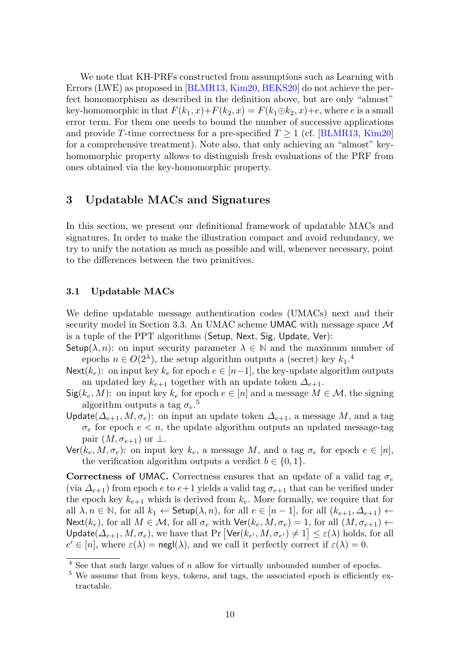We note that KH-PRFs constructed from assumptions such as Learning with Errors (LWE) as proposed in [\[BLMR13,](#page-30-2) [Kim20,](#page-32-7) [BEKS20\]](#page-30-4) do not achieve the perfect homomorphism as described in the definition above, but are only "almost" key-homomorphic in that  $F(k_1, x) + F(k_2, x) = F(k_1 \oplus k_2, x) + e$ , where e is a small error term. For them one needs to bound the number of successive applications and provide T-time correctness for a pre-specified  $T \ge 1$  (cf. [\[BLMR13,](#page-30-2) [Kim20\]](#page-32-7) for a comprehensive treatment). Note also, that only achieving an "almost" keyhomomorphic property allows to distinguish fresh evaluations of the PRF from ones obtained via the key-homomorphic property.

## 3 Updatable MACs and Signatures

In this section, we present our definitional framework of updatable MACs and signatures. In order to make the illustration compact and avoid redundancy, we try to unify the notation as much as possible and will, whenever necessary, point to the differences between the two primitives.

## 3.1 Updatable MACs

We define updatable message authentication codes (UMACs) next and their security model in Section [3.3.](#page-10-0) An UMAC scheme UMAC with message space  $\mathcal M$ is a tuple of the PPT algorithms (Setup, Next, Sig, Update, Ver):

Setup( $\lambda$ , n): on input security parameter  $\lambda \in \mathbb{N}$  and the maximum number of epochs  $n \in O(2^{\lambda})$ , the setup algorithm outputs a (secret) key  $k_1$ <sup>[4](#page-9-0)</sup>

Next( $k_e$ ): on input key  $k_e$  for epoch  $e \in [n-1]$ , the key-update algorithm outputs an updated key  $k_{e+1}$  together with an update token  $\Delta_{e+1}$ .

- $\textsf{Sig}(k_e, M)$ : on input key  $k_e$  for epoch  $e \in [n]$  and a message  $M \in \mathcal{M}$ , the signing algorithm outputs a tag  $\sigma_e$ .<sup>[5](#page-9-1)</sup>
- Update( $\Delta_{e+1}$ ,  $M$ ,  $\sigma_e$ ): on input an update token  $\Delta_{e+1}$ , a message M, and a tag  $\sigma_e$  for epoch  $e < n$ , the update algorithm outputs an updated message-tag pair  $(M, \sigma_{e+1})$  or  $\perp$ .
- $\textsf{Ver}(k_e, M, \sigma_e)$ : on input key  $k_e$ , a message M, and a tag  $\sigma_e$  for epoch  $e \in [n]$ , the verification algorithm outputs a verdict  $b \in \{0, 1\}.$

**Correctness of UMAC.** Correctness ensures that an update of a valid tag  $\sigma_e$ (via  $\Delta_{e+1}$ ) from epoch e to  $e+1$  yields a valid tag  $\sigma_{e+1}$  that can be verified under the epoch key  $k_{e+1}$  which is derived from  $k_e$ . More formally, we require that for all  $\lambda, n \in \mathbb{N}$ , for all  $k_1 \leftarrow$  Setup $(\lambda, n)$ , for all  $e \in [n-1]$ , for all  $(k_{e+1}, \Delta_{e+1})$   $\leftarrow$ Next(k<sub>e</sub>), for all  $M \in \mathcal{M}$ , for all  $\sigma_e$  with  $\text{Ver}(k_e, M, \sigma_e) = 1$ , for all  $(M, \sigma_{e+1}) \leftarrow$ Update( $\Delta_{e+1}, M, \sigma_e$ ), we have that Pr  $[\text{Ver}(k_{e'}, M, \sigma_{e'}) \neq 1] \leq \varepsilon(\lambda)$  holds, for all  $e' \in [n]$ , where  $\varepsilon(\lambda) = \text{negl}(\lambda)$ , and we call it perfectly correct if  $\varepsilon(\lambda) = 0$ .

<span id="page-9-0"></span> $4$  See that such large values of n allow for virtually unbounded number of epochs.

<span id="page-9-1"></span><sup>&</sup>lt;sup>5</sup> We assume that from keys, tokens, and tags, the associated epoch is efficiently extractable.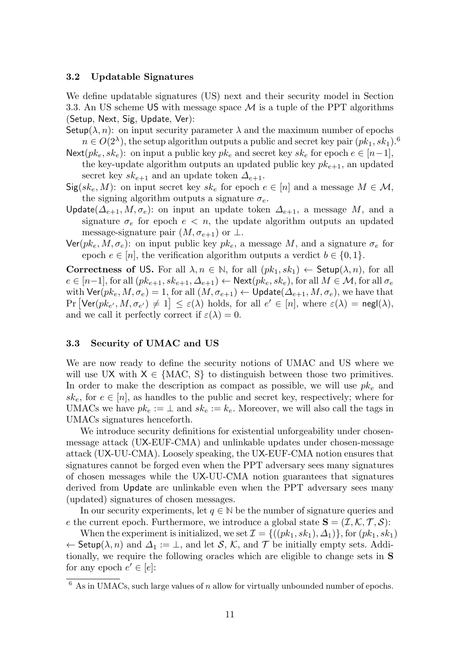#### 3.2 Updatable Signatures

We define updatable signatures (US) next and their security model in Section [3.3.](#page-10-0) An US scheme US with message space  $\mathcal M$  is a tuple of the PPT algorithms (Setup, Next, Sig, Update, Ver):

- Setup( $\lambda$ , n): on input security parameter  $\lambda$  and the maximum number of epochs  $n \in O(2<sup>\lambda</sup>)$ , the setup algorithm outputs a public and secret key pair  $(pk_1, sk_1).$ <sup>[6](#page-10-1)</sup>
- Next( $pk_e, sk_e$ ): on input a public key  $pk_e$  and secret key  $sk_e$  for epoch  $e \in [n-1]$ , the key-update algorithm outputs an updated public key  $pk_{e+1}$ , an updated secret key  $sk_{e+1}$  and an update token  $\Delta_{e+1}$ .
- $\textsf{Sig}(sk_e, M)$ : on input secret key  $sk_e$  for epoch  $e \in [n]$  and a message  $M \in \mathcal{M}$ , the signing algorithm outputs a signature  $\sigma_e$ .
- Update( $\Delta_{e+1}, M, \sigma_e$ ): on input an update token  $\Delta_{e+1}$ , a message M, and a signature  $\sigma_e$  for epoch  $e < n$ , the update algorithm outputs an updated message-signature pair  $(M, \sigma_{e+1})$  or  $\perp$ .
- $\text{Ver}(pk_e, M, \sigma_e)$ : on input public key  $pk_e$ , a message M, and a signature  $\sigma_e$  for epoch  $e \in [n]$ , the verification algorithm outputs a verdict  $b \in \{0, 1\}$ .

Correctness of US. For all  $\lambda, n \in \mathbb{N}$ , for all  $(pk_1, sk_1) \leftarrow$  Setup $(\lambda, n)$ , for all  $e \in [n-1]$ , for all  $(pk_{e+1}, sk_{e+1}, \Delta_{e+1}) \leftarrow \text{Next}(pk_e, sk_e)$ , for all  $M \in \mathcal{M}$ , for all  $\sigma_e$ with  $\textsf{Ver}(pk_e, M, \sigma_e) = 1$ , for all  $(M, \sigma_{e+1}) \leftarrow \textsf{Update}(\Delta_{e+1}, M, \sigma_e)$ , we have that  $\Pr\left[\text{Ver}(pk_{e'}, M, \sigma_{e'}) \neq 1\right] \leq \varepsilon(\lambda) \text{ holds, for all } e' \in [n], \text{ where } \varepsilon(\lambda) = \text{negl}(\lambda),$ and we call it perfectly correct if  $\varepsilon(\lambda) = 0$ .

### <span id="page-10-0"></span>3.3 Security of UMAC and US

We are now ready to define the security notions of UMAC and US where we will use UX with  $X \in \{MAC, S\}$  to distinguish between those two primitives. In order to make the description as compact as possible, we will use  $pk_e$  and  $sk_e$ , for  $e \in [n]$ , as handles to the public and secret key, respectively; where for UMACs we have  $pk_e := \perp$  and  $sk_e := k_e$ . Moreover, we will also call the tags in UMACs signatures henceforth.

We introduce security definitions for existential unforgeability under chosenmessage attack (UX-EUF-CMA) and unlinkable updates under chosen-message attack (UX-UU-CMA). Loosely speaking, the UX-EUF-CMA notion ensures that signatures cannot be forged even when the PPT adversary sees many signatures of chosen messages while the UX-UU-CMA notion guarantees that signatures derived from Update are unlinkable even when the PPT adversary sees many (updated) signatures of chosen messages.

In our security experiments, let  $q \in \mathbb{N}$  be the number of signature queries and e the current epoch. Furthermore, we introduce a global state  $\mathbf{S} = (\mathcal{I}, \mathcal{K}, \mathcal{T}, \mathcal{S})$ :

When the experiment is initialized, we set  $\mathcal{I} = \{((pk_1, sk_1), \Delta_1)\}\$ , for  $(pk_1, sk_1)$  $\leftarrow$  Setup( $\lambda$ , n) and  $\Delta_1 := \bot$ , and let S, K, and T be initially empty sets. Additionally, we require the following oracles which are eligible to change sets in S for any epoch  $e' \in [e]$ :

<span id="page-10-1"></span> $6$  As in UMACs, such large values of n allow for virtually unbounded number of epochs.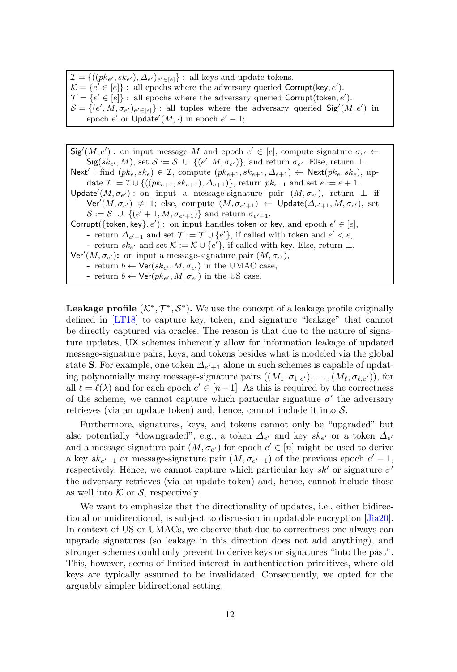$\mathcal{I} = \{((pk_{e'}, sk_{e'}), \Delta_{e'})_{e' \in [e]}\}$ : all keys and update tokens.  $\mathcal{K} = \{e' \in [e]\}$ : all epochs where the adversary queried Corrupt(key, e').  $\mathcal{T} = \{e' \in [e]\}$ : all epochs where the adversary queried Corrupt(token, e').  $S = \{(e', M, \sigma_{e'})_{e' \in [e]}\}\$ : all tuples where the adversary queried  $\text{Sig}'(M, e')$  in epoch  $e'$  or  $Update'(M, \cdot)$  in epoch  $e' - 1$ ;

 $\textsf{Sig}'(M, e')$ : on input message M and epoch  $e' \in [e]$ , compute signature  $\sigma_{e'} \leftarrow$  $\mathsf{Sig}(sk_{e'}, M)$ , set  $\mathcal{S} := \mathcal{S} \cup \{(e', M, \sigma_{e'})\}$ , and return  $\sigma_{e'}$ . Else, return  $\perp$ . Next': find  $(pk_e, sk_e) \in \mathcal{I}$ , compute  $(pk_{e+1}, sk_{e+1}, \Delta_{e+1}) \leftarrow \text{Next}(pk_e, sk_e)$ , update  $\mathcal{I} := \mathcal{I} \cup \{((pk_{e+1}, sk_{e+1}), \Delta_{e+1})\}\$ , return  $pk_{e+1}$  and set  $e := e+1$ . Update<sup>'</sup>( $M, \sigma_{e'}$ ) : on input a message-signature pair  $(M, \sigma_{e'})$ , return  $\perp$  if  $\mathsf{Ver}'(M, \sigma_{e'}) \ \neq \ 1;$  else, compute  $(M, \sigma_{e'+1}) \ \leftarrow \ \mathsf{Update}(\Delta_{e'+1}, M, \sigma_{e'})$ , set  $\mathcal{S} := \mathcal{S} \cup \{ (e' + 1, M, \sigma_{e' + 1}) \}$  and return  $\sigma_{e' + 1}$ . Corrupt({token, key},  $e'$ ) : on input handles token or key, and epoch  $e' \in [e]$ , - return  $\Delta_{e'+1}$  and set  $\mathcal{T} := \mathcal{T} \cup \{e'\}$ , if called with token and  $e' < e$ , - return  $sk_{e'}$  and set  $K := K \cup \{e'\}$ , if called with key. Else, return  $\perp$ .  $\textsf{Ver}'(M, \sigma_{e'})$ : on input a message-signature pair  $(M, \sigma_{e'})$ , - return  $b \leftarrow \text{Ver}(sk_{e'}, M, \sigma_{e'})$  in the UMAC case, - return  $b \leftarrow \text{Ver}(pk_{e'}, M, \sigma_{e'})$  in the US case.

**Leakage profile**  $(K^*, \mathcal{T}^*, \mathcal{S}^*)$ . We use the concept of a leakage profile originally defined in [\[LT18\]](#page-33-0) to capture key, token, and signature "leakage" that cannot be directly captured via oracles. The reason is that due to the nature of signature updates, UX schemes inherently allow for information leakage of updated message-signature pairs, keys, and tokens besides what is modeled via the global state S. For example, one token  $\Delta_{e'+1}$  alone in such schemes is capable of updating polynomially many message-signature pairs  $((M_1, \sigma_{1,e'}), \ldots, (M_\ell, \sigma_{\ell,e'}))$ , for all  $\ell = \ell(\lambda)$  and for each epoch  $e' \in [n-1]$ . As this is required by the correctness of the scheme, we cannot capture which particular signature  $\sigma'$  the adversary retrieves (via an update token) and, hence, cannot include it into  $S$ .

Furthermore, signatures, keys, and tokens cannot only be "upgraded" but also potentially "downgraded", e.g., a token  $\Delta_{e'}$  and key  $sk_{e'}$  or a token  $\Delta_{e'}$ and a message-signature pair  $(M, \sigma_{e'})$  for epoch  $e' \in [n]$  might be used to derive a key  $sk_{e'-1}$  or message-signature pair  $(M, \sigma_{e'-1})$  of the previous epoch  $e'-1$ , respectively. Hence, we cannot capture which particular key  $sk'$  or signature  $\sigma'$ the adversary retrieves (via an update token) and, hence, cannot include those as well into  $K$  or  $S$ , respectively.

We want to emphasize that the directionality of updates, i.e., either bidirectional or unidirectional, is subject to discussion in updatable encryption [\[Jia20\]](#page-32-13). In context of US or UMACs, we observe that due to correctness one always can upgrade signatures (so leakage in this direction does not add anything), and stronger schemes could only prevent to derive keys or signatures "into the past". This, however, seems of limited interest in authentication primitives, where old keys are typically assumed to be invalidated. Consequently, we opted for the arguably simpler bidirectional setting.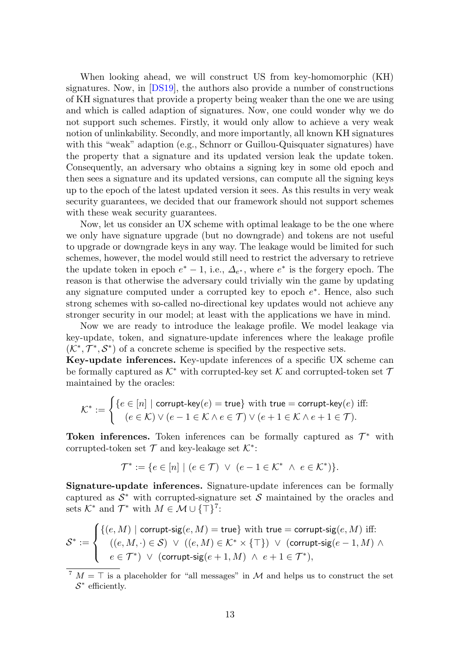When looking ahead, we will construct US from key-homomorphic (KH) signatures. Now, in [\[DS19\]](#page-31-2), the authors also provide a number of constructions of KH signatures that provide a property being weaker than the one we are using and which is called adaption of signatures. Now, one could wonder why we do not support such schemes. Firstly, it would only allow to achieve a very weak notion of unlinkability. Secondly, and more importantly, all known KH signatures with this "weak" adaption (e.g., Schnorr or Guillou-Quisquater signatures) have the property that a signature and its updated version leak the update token. Consequently, an adversary who obtains a signing key in some old epoch and then sees a signature and its updated versions, can compute all the signing keys up to the epoch of the latest updated version it sees. As this results in very weak security guarantees, we decided that our framework should not support schemes with these weak security guarantees.

Now, let us consider an UX scheme with optimal leakage to be the one where we only have signature upgrade (but no downgrade) and tokens are not useful to upgrade or downgrade keys in any way. The leakage would be limited for such schemes, however, the model would still need to restrict the adversary to retrieve the update token in epoch  $e^* - 1$ , i.e.,  $\Delta_{e^*}$ , where  $e^*$  is the forgery epoch. The reason is that otherwise the adversary could trivially win the game by updating any signature computed under a corrupted key to epoch  $e^*$ . Hence, also such strong schemes with so-called no-directional key updates would not achieve any stronger security in our model; at least with the applications we have in mind.

Now we are ready to introduce the leakage profile. We model leakage via key-update, token, and signature-update inferences where the leakage profile  $(\mathcal{K}^*, \mathcal{T}^*, \mathcal{S}^*)$  of a concrete scheme is specified by the respective sets.

Key-update inferences. Key-update inferences of a specific UX scheme can be formally captured as  $K^*$  with corrupted-key set K and corrupted-token set  $\mathcal T$ maintained by the oracles:

$$
\mathcal{K}^* := \begin{cases} \{e \in [n] \mid \text{corrupt-key}(e) = \text{true} \} \text{ with true} = \text{corrupt-key}(e) \text{ iff:} \\ (e \in \mathcal{K}) \lor (e - 1 \in \mathcal{K} \land e \in \mathcal{T}) \lor (e + 1 \in \mathcal{K} \land e + 1 \in \mathcal{T}). \end{cases}
$$

Token inferences. Token inferences can be formally captured as  $\mathcal{T}^*$  with corrupted-token set  $\mathcal T$  and key-leakage set  $\mathcal K^*$ :

$$
\mathcal{T}^* := \{ e \in [n] \mid (e \in \mathcal{T}) \ \lor \ (e - 1 \in \mathcal{K}^* \ \land \ e \in \mathcal{K}^* ) \}.
$$

Signature-update inferences. Signature-update inferences can be formally captured as  $\mathcal{S}^*$  with corrupted-signature set  $\mathcal{S}$  maintained by the oracles and sets  $K^*$  and  $\mathcal{T}^*$  with  $M \in \mathcal{M} \cup {\{\top\}}^7$  $M \in \mathcal{M} \cup {\{\top\}}^7$ :

$$
\mathcal{S}^* := \begin{cases} \{ (e, M) \mid \text{corrupt-sig}(e, M) = \text{true} \} \text{ with true} = \text{corrupt-sig}(e, M) \text{ iff:} \\ & ((e, M, \cdot) \in \mathcal{S}) \ \lor \ ((e, M) \in \mathcal{K}^* \times \{\top\}) \ \lor \ (\text{corrupt-sig}(e-1, M) \ \land \\ & e \in \mathcal{T}^*) \ \lor \ (\text{corrupt-sig}(e+1, M) \ \land \ e+1 \in \mathcal{T}^*), \end{cases}
$$

<span id="page-12-0"></span> $7 N = \top$  is a placeholder for "all messages" in M and helps us to construct the set  $S^*$  efficiently.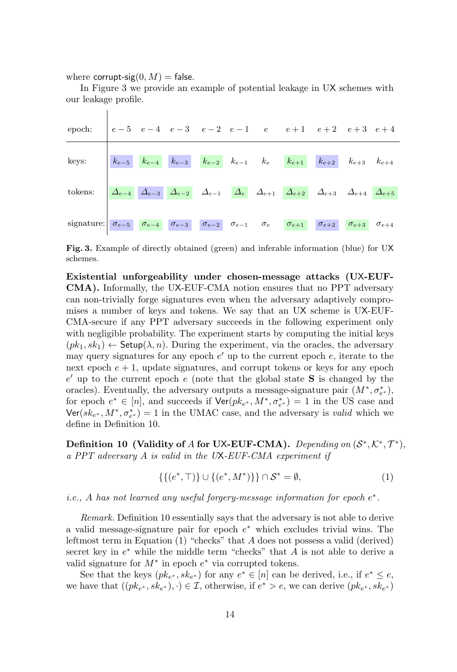where corrupt-sig $(0, M)$  = false.

 $\overline{1}$ 

In Figure [3](#page-13-0) we provide an example of potential leakage in UX schemes with our leakage profile.

| epoch: $\begin{vmatrix} e-5 & e-4 & e-3 & e-2 & e-1 & e & e+1 & e+2 & e+3 & e+4 \end{vmatrix}$                                                                                                                                                                                                                                                         |  |  |  |  |  |
|--------------------------------------------------------------------------------------------------------------------------------------------------------------------------------------------------------------------------------------------------------------------------------------------------------------------------------------------------------|--|--|--|--|--|
| keys: $\begin{vmatrix} k_{e-5} & k_{e-4} & k_{e-3} & k_{e-2} & k_{e-1} & k_e & k_{e+1} & k_{e+2} & k_{e+3} & k_{e+4} \end{vmatrix}$                                                                                                                                                                                                                    |  |  |  |  |  |
| tokens: $\begin{array}{ c c c c c c }\hline \boldsymbol{\Delta_{e-4}} & \boldsymbol{\Delta_{e-3}} & \boldsymbol{\Delta_{e-2}} & \boldsymbol{\Delta_{e-1}} & \boldsymbol{\Delta_{e}} & \boldsymbol{\Delta_{e+1}} & \boldsymbol{\Delta_{e+2}} & \boldsymbol{\Delta_{e+3}} & \boldsymbol{\Delta_{e+4}} & \boldsymbol{\Delta_{e+5}} \\ \hline \end{array}$ |  |  |  |  |  |
| signature: $\sigma_{e-5}$ $\sigma_{e-4}$ $\sigma_{e-3}$ $\sigma_{e-2}$ $\sigma_{e-1}$ $\sigma_{e}$ $\sigma_{e+1}$ $\sigma_{e+2}$ $\sigma_{e+3}$ $\sigma_{e+4}$                                                                                                                                                                                         |  |  |  |  |  |

<span id="page-13-0"></span>Fig. 3. Example of directly obtained (green) and inferable information (blue) for UX schemes.

Existential unforgeability under chosen-message attacks (UX-EUF-CMA). Informally, the UX-EUF-CMA notion ensures that no PPT adversary can non-trivially forge signatures even when the adversary adaptively compromises a number of keys and tokens. We say that an UX scheme is UX-EUF-CMA-secure if any PPT adversary succeeds in the following experiment only with negligible probability. The experiment starts by computing the initial keys  $(pk_1, sk_1) \leftarrow$  Setup $(\lambda, n)$ . During the experiment, via the oracles, the adversary may query signatures for any epoch  $e'$  up to the current epoch  $e$ , iterate to the next epoch  $e + 1$ , update signatures, and corrupt tokens or keys for any epoch  $e'$  up to the current epoch  $e$  (note that the global state S is changed by the oracles). Eventually, the adversary outputs a message-signature pair  $(M^*, \sigma_{e^*}^*)$ , for epoch  $e^* \in [n]$ , and succeeds if  $\text{Ver}(pk_{e^*}, M^*, \sigma_{e^*}^*) = 1$  in the US case and  $\text{Ver}(sk_{e^*}, M^*, \sigma_{e^*}^*) = 1$  in the UMAC case, and the adversary is *valid* which we define in Definition [10.](#page-13-1)

<span id="page-13-1"></span>Definition 10 (Validity of A for UX-EUF-CMA). Depending on  $(S^*, \mathcal{K}^*, \mathcal{T}^*)$ , a PPT adversary A is valid in the UX-EUF-CMA experiment if

<span id="page-13-2"></span>
$$
\{\{(e^*, \top)\}\cup\{(e^*, M^*)\}\}\cap S^* = \emptyset,\tag{1}
$$

i.e., A has not learned any useful forgery-message information for epoch  $e^*$ .

Remark. Definition [10](#page-13-1) essentially says that the adversary is not able to derive a valid message-signature pair for epoch  $e^*$  which excludes trivial wins. The leftmost term in Equation [\(1\)](#page-13-2) "checks" that A does not possess a valid (derived) secret key in  $e^*$  while the middle term "checks" that  $A$  is not able to derive a valid signature for  $M^*$  in epoch  $e^*$  via corrupted tokens.

See that the keys  $(pk_{e^*}, sk_{e^*})$  for any  $e^* \in [n]$  can be derived, i.e., if  $e^* \leq e$ , we have that  $((pk_{e^*}, sk_{e^*}), \cdot) \in \mathcal{I}$ , otherwise, if  $e^* > e$ , we can derive  $(pk_{e^*}, sk_{e^*})$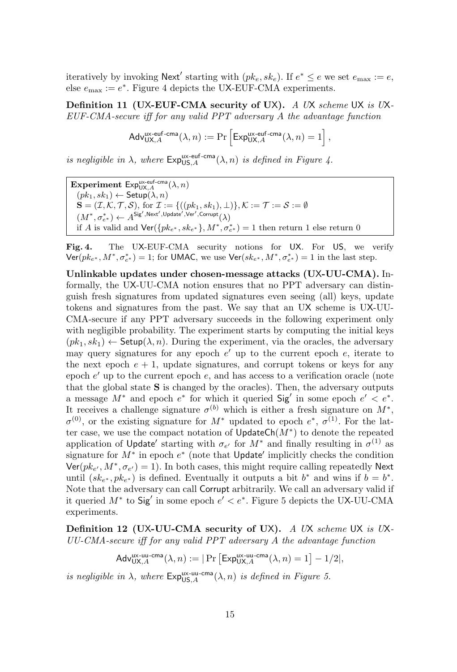iteratively by invoking  $\mathsf{Next}'$  starting with  $(pk_e, sk_e)$ . If  $e^* \leq e$  we set  $e_{\text{max}} := e$ , else  $e_{\text{max}} := e^*$ . Figure [4](#page-14-0) depicts the UX-EUF-CMA experiments.

<span id="page-14-1"></span>Definition 11 (UX-EUF-CMA security of UX). A UX scheme UX is UX-EUF-CMA-secure iff for any valid PPT adversary A the advantage function

$$
\mathsf{Adv}_{\mathsf{UX}, A}^{\mathsf{ux-euf-cma}}(\lambda, n) := \Pr\left[\mathsf{Exp}_{\mathsf{UX}, A}^{\mathsf{ux-euf-cma}}(\lambda, n) = 1\right],
$$

is negligible in  $\lambda$ , where  $Exp_{US,A}^{\text{ux-euf-cma}}(\lambda, n)$  is defined in Figure [4.](#page-14-0)

Experiment  $\mathsf{Exp}_{\mathsf{UX}, A}^{\mathsf{ux}\text{-}\mathsf{euf}\text{-}\mathsf{cma}}(\lambda, n)$  $(pk_1, sk_1) \leftarrow \mathsf{Setup}(\lambda, n)$  $\mathbf{S} = (\mathcal{I}, \mathcal{K}, \mathcal{T}, \mathcal{S}), \text{ for } \mathcal{I} := \{((pk_1, sk_1), \perp)\}, \mathcal{K} := \mathcal{T} := \mathcal{S} := \emptyset$  $(M^*,\sigma^*_{e^*}) \leftarrow A^{\mathsf{Sig}',\mathsf{Next}',\mathsf{Update}',\mathsf{Ver}',\mathsf{Corrupt}(\lambda)$ if A is valid and  $\text{Ver}(\{pk_{e^*}, sk_{e^*}\}, M^*, \sigma_{e^*}^*) = 1$  then return 1 else return 0

<span id="page-14-0"></span>Fig. 4. The UX-EUF-CMA security notions for UX. For US, we verify  $\textsf{Ver}(pk_{e^*}, M^*, \sigma_{e^*}^*) = 1$ ; for UMAC, we use  $\textsf{Ver}(sk_{e^*}, M^*, \sigma_{e^*}^*) = 1$  in the last step.

Unlinkable updates under chosen-message attacks (UX-UU-CMA). Informally, the UX-UU-CMA notion ensures that no PPT adversary can distinguish fresh signatures from updated signatures even seeing (all) keys, update tokens and signatures from the past. We say that an UX scheme is UX-UU-CMA-secure if any PPT adversary succeeds in the following experiment only with negligible probability. The experiment starts by computing the initial keys  $(pk_1, sk_1) \leftarrow$  Setup $(\lambda, n)$ . During the experiment, via the oracles, the adversary may query signatures for any epoch  $e'$  up to the current epoch  $e$ , iterate to the next epoch  $e + 1$ , update signatures, and corrupt tokens or keys for any epoch  $e'$  up to the current epoch  $e$ , and has access to a verification oracle (note that the global state  $S$  is changed by the oracles). Then, the adversary outputs a message  $M^*$  and epoch  $e^*$  for which it queried  $\textsf{Sig}'$  in some epoch  $e' < e^*$ . It receives a challenge signature  $\sigma^{(b)}$  which is either a fresh signature on  $M^*$ ,  $\sigma^{(0)}$ , or the existing signature for  $M^*$  updated to epoch  $e^*, \sigma^{(1)}$ . For the latter case, we use the compact notation of  $UpdateCh(M^*)$  to denote the repeated application of Update' starting with  $\sigma_{e'}$  for  $M^*$  and finally resulting in  $\sigma^{(1)}$  as signature for  $M^*$  in epoch  $e^*$  (note that Update' implicitly checks the condition  $\text{Ver}(pk_{e'}, M^*, \sigma_{e'}) = 1$ ). In both cases, this might require calling repeatedly Next until  $(sk_{e^*}, p k_{e^*})$  is defined. Eventually it outputs a bit  $b^*$  and wins if  $b = b^*$ . Note that the adversary can call Corrupt arbitrarily. We call an adversary valid if it queried  $M^*$  to  $\text{Sig}'$  in some epoch  $e' < e^*$ . Figure [5](#page-15-0) depicts the UX-UU-CMA experiments.

Definition 12 (UX-UU-CMA security of UX). A UX scheme UX is UX-UU-CMA-secure iff for any valid PPT adversary A the advantage function

$$
\mathsf{Adv}_{\mathsf{UX}, A}^{\mathsf{ux-uu-cma}}(\lambda, n) := |\Pr\left[\mathsf{Exp}_{\mathsf{UX}, A}^{\mathsf{ux-uu-cma}}(\lambda, n) = 1\right] - 1/2|,
$$

is negligible in  $\lambda$ , where  $Exp_{US,A}^{\text{ux-uu-cma}}(\lambda, n)$  is defined in Figure [5.](#page-15-0)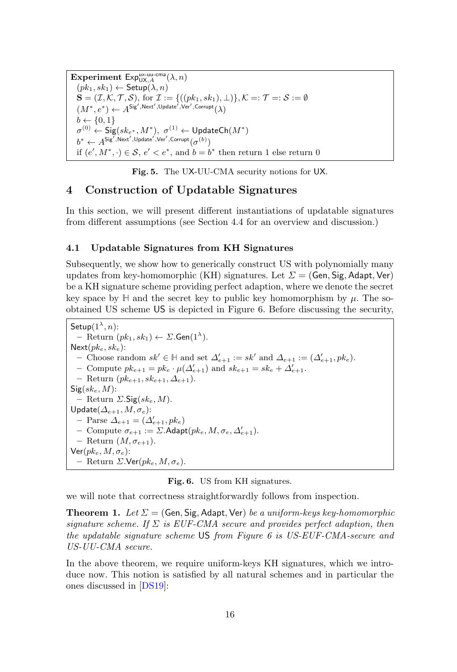Experiment  $\mathsf{Exp}_{\mathsf{UX}, A}^{\mathsf{ux-uu-cma}}(\lambda, n)$  $(pk_1, sk_1) \leftarrow$  Setup $(\lambda, n)$  $\mathbf{S} = (\mathcal{I}, \mathcal{K}, \mathcal{T}, \mathcal{S}), \text{ for } \mathcal{I} := \{((pk_1, sk_1), \perp)\}, \mathcal{K} =: \mathcal{T} =: \mathcal{S} := \emptyset$  $(M^*, e^*) \leftarrow A^{\mathsf{Sig}', \mathsf{Next}', \mathsf{Update}', \mathsf{Ver}', \mathsf{Corrupt}(\lambda)$  $b \leftarrow \{0, 1\}$  $\sigma^{(0)} \leftarrow \mathsf{Sig}(sk_{e^*},M^*),\,\, \sigma^{(1)} \leftarrow \mathsf{UpdateCh}(M^*)$  $b^* \leftarrow A^{\mathsf{Sig}',\mathsf{Next}',\mathsf{Update}',\mathsf{Ver}',\mathsf{Corrupt}(\sigma^{(b)})$ if  $(e', M^*, \cdot) \in \mathcal{S}, e' < e^*$ , and  $b = b^*$  then return 1 else return 0

<span id="page-15-0"></span>Fig. 5. The UX-UU-CMA security notions for UX.

## 4 Construction of Updatable Signatures

In this section, we will present different instantiations of updatable signatures from different assumptions (see Section [4.4](#page-25-0) for an overview and discussion.)

#### <span id="page-15-4"></span>4.1 Updatable Signatures from KH Signatures

Subsequently, we show how to generically construct US with polynomially many updates from key-homomorphic (KH) signatures. Let  $\Sigma = (Gen, Sig, Adapt, Ver)$ be a KH signature scheme providing perfect adaption, where we denote the secret key space by  $\mathbb H$  and the secret key to public key homomorphism by  $\mu$ . The soobtained US scheme US is depicted in Figure [6.](#page-15-1) Before discussing the security,

Setup $(1^{\lambda}, n)$ :  $-$  Return  $(pk_1, sk_1) \leftarrow \Sigma$ . Gen $(1^{\lambda})$ .  $Next(pk_e, sk_e):$ - Choose random  $sk' \in \mathbb{H}$  and set  $\Delta'_{e+1} := sk'$  and  $\Delta_{e+1} := (\Delta'_{e+1}, pk_e)$ . - Compute  $pk_{e+1} = pk_e \cdot \mu(\Delta'_{e+1})$  and  $sk_{e+1} = sk_e + \Delta'_{e+1}$ . – Return  $(pk_{e+1}, sk_{e+1}, \Delta_{e+1})$ .  $Sig(sk_e, M)$ : – Return  $\Sigma$ . Sig $(sk_e, M$ ). Update $(\Delta_{e+1}, M, \sigma_e)$ :  $-$  Parse  $\Delta_{e+1} = (\Delta'_{e+1}, p k_e)$ - Compute  $\sigma_{e+1} := \Sigma$ . Adapt $(pk_e, M, \sigma_e, \Delta'_{e+1})$ . – Return  $(M, \sigma_{e+1})$ .  $\mathsf{Ver}(pk_e, M, \sigma_e)$ : – Return  $\Sigma$ .Ver( $pk_e$ ,  $M, \sigma_e$ ).

<span id="page-15-2"></span><span id="page-15-1"></span>Fig. 6. US from KH signatures.

we will note that correctness straightforwardly follows from inspection.

<span id="page-15-3"></span>**Theorem 1.** Let  $\Sigma = (Gen, Sig, Adapt, Ver)$  be a uniform-keys key-homomorphic signature scheme. If  $\Sigma$  is EUF-CMA secure and provides perfect adaption, then the updatable signature scheme US from Figure [6](#page-15-1) is US-EUF-CMA-secure and US-UU-CMA secure.

In the above theorem, we require uniform-keys KH signatures, which we introduce now. This notion is satisfied by all natural schemes and in particular the ones discussed in [\[DS19\]](#page-31-2):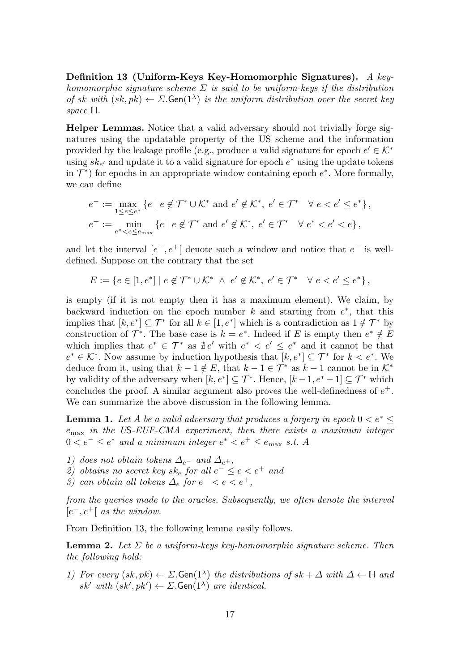Definition 13 (Uniform-Keys Key-Homomorphic Signatures). A keyhomomorphic signature scheme  $\Sigma$  is said to be uniform-keys if the distribution of sk with  $(sk, pk) \leftarrow \Sigma$ . Gen $(1^{\lambda})$  is the uniform distribution over the secret key space **H**.

Helper Lemmas. Notice that a valid adversary should not trivially forge signatures using the updatable property of the US scheme and the information provided by the leakage profile (e.g., produce a valid signature for epoch  $e' \in \mathcal{K}^*$ using  $sk_{e'}$  and update it to a valid signature for epoch  $e^*$  using the update tokens in  $\mathcal{T}^*$ ) for epochs in an appropriate window containing epoch  $e^*$ . More formally, we can define

$$
e^- := \max_{1 \leq e \leq e^*} \left\{ e \mid e \notin \mathcal{T}^* \cup \mathcal{K}^* \text{ and } e' \notin \mathcal{K}^*, e' \in \mathcal{T}^* \quad \forall e < e' \leq e^* \right\},
$$
  

$$
e^+ := \min_{e^* < e \leq e_{\text{max}}} \left\{ e \mid e \notin \mathcal{T}^* \text{ and } e' \notin \mathcal{K}^*, e' \in \mathcal{T}^* \quad \forall e^* < e' < e \right\},
$$

and let the interval  $[e^-, e^+]$  denote such a window and notice that  $e^-$  is welldefined. Suppose on the contrary that the set

$$
E := \{ e \in [1, e^*] \mid e \notin \mathcal{T}^* \cup \mathcal{K}^* \ \wedge \ e' \notin \mathcal{K}^*, \ e' \in \mathcal{T}^* \quad \forall \ e < e' \leq e^* \},
$$

is empty (if it is not empty then it has a maximum element). We claim, by backward induction on the epoch number  $k$  and starting from  $e^*$ , that this implies that  $[k, e^*] \subseteq \mathcal{T}^*$  for all  $k \in [1, e^*]$  which is a contradiction as  $1 \notin \mathcal{T}^*$  by construction of  $\mathcal{T}^*$ . The base case is  $k = e^*$ . Indeed if E is empty then  $e^* \notin E$ which implies that  $e^* \in \mathcal{T}^*$  as  $\frac{4}{\pi}e'$  with  $e^* \leq e' \leq e^*$  and it cannot be that  $e^* \in \mathcal{K}^*$ . Now assume by induction hypothesis that  $[k, e^*] \subseteq \mathcal{T}^*$  for  $k < e^*$ . We deduce from it, using that  $k - 1 \notin E$ , that  $k - 1 \in \mathcal{T}^*$  as  $k - 1$  cannot be in  $\mathcal{K}^*$ by validity of the adversary when  $[k, e^*] \subseteq \mathcal{T}^*$ . Hence,  $[k-1, e^* - 1] \subseteq \mathcal{T}^*$  which concludes the proof. A similar argument also proves the well-definedness of  $e^+$ . We can summarize the above discussion in the following lemma.

<span id="page-16-1"></span>**Lemma 1.** Let A be a valid adversary that produces a forgery in epoch  $0 < e^* \leq$  $e<sub>max</sub>$  in the US-EUF-CMA experiment, then there exists a maximum integer  $0 < e^- \leq e^*$  and a minimum integer  $e^* < e^+ \leq e_{\text{max}}$  s.t. A

- 1) does not obtain tokens  $\Delta_{e^-}$  and  $\Delta_{e^+}$ ,
- 2) obtains no secret key sk<sub>e</sub> for all  $e^- \le e < e^+$  and
- 3) can obtain all tokens  $\Delta_e$  for  $e^- < e < e^+$ ,

from the queries made to the oracles. Subsequently, we often denote the interval  $[e^-, e^+]$  as the window.

<span id="page-16-0"></span>From Definition [13,](#page-15-2) the following lemma easily follows.

**Lemma 2.** Let  $\Sigma$  be a uniform-keys key-homomorphic signature scheme. Then the following hold:

1) For every  $(sk, pk) \leftarrow \Sigma$ **. Gen** $(1^{\lambda})$  the distributions of  $sk + \Delta$  with  $\Delta \leftarrow \mathbb{H}$  and sk' with  $(sk', pk') \leftarrow \Sigma$ . Gen $(1^{\lambda})$  are identical.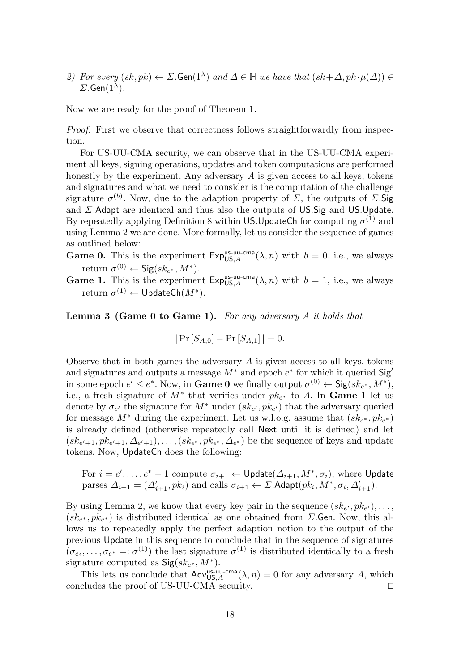2) For every  $(sk, pk) \leftarrow \Sigma$ **. Gen** $(1^{\lambda})$  and  $\Delta \in \mathbb{H}$  we have that  $(sk + \Delta, pk \cdot \mu(\Delta)) \in$  $\Sigma$ .Gen $(1^{\lambda})$ .

Now we are ready for the proof of Theorem [1.](#page-15-3)

Proof. First we observe that correctness follows straightforwardly from inspection.

For US-UU-CMA security, we can observe that in the US-UU-CMA experiment all keys, signing operations, updates and token computations are performed honestly by the experiment. Any adversary  $A$  is given access to all keys, tokens and signatures and what we need to consider is the computation of the challenge signature  $\sigma^{(b)}$ . Now, due to the adaption property of  $\Sigma$ , the outputs of  $\Sigma$ . Sig and Σ.Adapt are identical and thus also the outputs of US.Sig and US.Update. By repeatedly applying Definition [8](#page-8-1) within US.UpdateCh for computing  $\sigma^{(1)}$  and using Lemma [2](#page-16-0) we are done. More formally, let us consider the sequence of games as outlined below:

- **Game 0.** This is the experiment  $Exp_{US,A}^{us-uu-cma}(\lambda, n)$  with  $b = 0$ , i.e., we always return  $\sigma^{(0)} \leftarrow$  Sig $(sk_{e^*}, M^*)$ .
- **Game 1.** This is the experiment  $Exp_{US,A}^{us-uu-cma}(\lambda, n)$  with  $b = 1$ , i.e., we always  $\mathrm{return} \; \sigma^{(1)} \leftarrow \mathsf{UpdateCh}(M^*).$

<span id="page-17-0"></span>**Lemma 3 (Game 0 to Game 1).** For any adversary  $A$  it holds that

$$
|\Pr\left[S_{A,0}\right] - \Pr\left[S_{A,1}\right]| = 0.
$$

Observe that in both games the adversary  $A$  is given access to all keys, tokens and signatures and outputs a message  $M^*$  and epoch  $e^*$  for which it queried  $\mathsf{Sig}'$ in some epoch  $e' \leq e^*$ . Now, in **Game 0** we finally output  $\sigma^{(0)} \leftarrow \mathsf{Sig}(sk_{e^*}, M^*)$ , i.e., a fresh signature of  $M^*$  that verifies under  $pk_{e^*}$  to A. In Game 1 let us denote by  $\sigma_{e'}$  the signature for  $M^*$  under  $(sk_{e'}, p k_{e'})$  that the adversary queried for message  $M^*$  during the experiment. Let us w.l.o.g. assume that  $(sk_{e^*}, p k_{e^*})$ is already defined (otherwise repeatedly call Next until it is defined) and let  $(sk_{e'+1}, p k_{e'+1}, \Delta_{e'+1}), \ldots, (sk_{e^*}, p k_{e^*}, \Delta_{e^*})$  be the sequence of keys and update tokens. Now, UpdateCh does the following:

 $-$  For  $i = e', \ldots, e^* - 1$  compute  $\sigma_{i+1} \leftarrow \mathsf{Update}(\Delta_{i+1}, M^*, \sigma_i)$ , where  $\mathsf{Update}$ parses  $\Delta_{i+1} = (\Delta'_{i+1}, pk_i)$  and calls  $\sigma_{i+1} \leftarrow \Sigma$ . Adapt $(pk_i, M^*, \sigma_i, \Delta'_{i+1})$ .

By using Lemma [2,](#page-16-0) we know that every key pair in the sequence  $(s k_{e'}, p k_{e'}), \ldots$ ,  $(sk_{e^*}, p k_{e^*})$  is distributed identical as one obtained from  $\Sigma$ . Gen. Now, this allows us to repeatedly apply the perfect adaption notion to the output of the previous Update in this sequence to conclude that in the sequence of signatures  $(\sigma_{e_i}, \ldots, \sigma_{e^*} =: \sigma^{(1)})$  the last signature  $\sigma^{(1)}$  is distributed identically to a fresh signature computed as  $\mathsf{Sig}(sk_{e^*}, M^*)$ .

This lets us conclude that  $\mathsf{Adv}_{\mathsf{US}, A}^{\mathsf{us-uu-cma}}(\lambda, n) = 0$  for any adversary A, which concludes the proof of US-UU-CMA security.  $\square$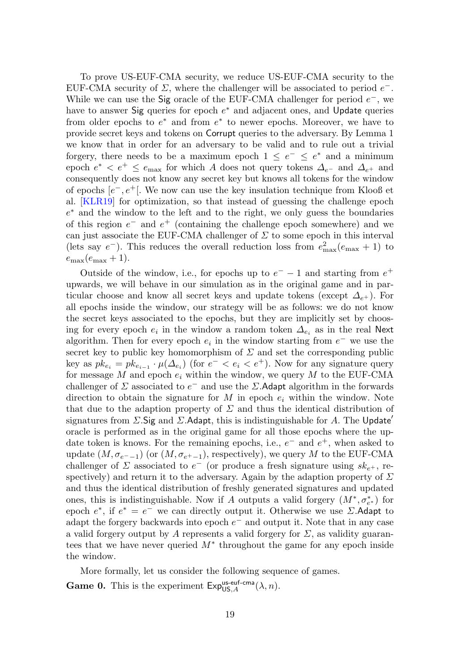To prove US-EUF-CMA security, we reduce US-EUF-CMA security to the EUF-CMA security of  $\Sigma$ , where the challenger will be associated to period  $e^-$ . While we can use the Sig oracle of the EUF-CMA challenger for period  $e^-$ , we have to answer Sig queries for epoch  $e^*$  and adjacent ones, and Update queries from older epochs to  $e^*$  and from  $e^*$  to newer epochs. Moreover, we have to provide secret keys and tokens on Corrupt queries to the adversary. By Lemma [1](#page-16-1) we know that in order for an adversary to be valid and to rule out a trivial forgery, there needs to be a maximum epoch  $1 \leq e^- \leq e^*$  and a minimum epoch  $e^* < e^+ \le e_{\text{max}}$  for which A does not query tokens  $\Delta_{e^-}$  and  $\Delta_{e^+}$  and consequently does not know any secret key but knows all tokens for the window of epochs  $[e^-, e^+]$ . We now can use the key insulation technique from Klooß et al. [\[KLR19\]](#page-32-3) for optimization, so that instead of guessing the challenge epoch e <sup>∗</sup> and the window to the left and to the right, we only guess the boundaries of this region  $e^-$  and  $e^+$  (containing the challenge epoch somewhere) and we can just associate the EUF-CMA challenger of  $\Sigma$  to some epoch in this interval (lets say  $e^-$ ). This reduces the overall reduction loss from  $e_{\text{max}}^2(e_{\text{max}} + 1)$  to  $e_{\text{max}}(e_{\text{max}} + 1).$ 

Outside of the window, i.e., for epochs up to  $e^-$  – 1 and starting from  $e^+$ upwards, we will behave in our simulation as in the original game and in particular choose and know all secret keys and update tokens (except  $\Delta_{e^+}$ ). For all epochs inside the window, our strategy will be as follows: we do not know the secret keys associated to the epochs, but they are implicitly set by choosing for every epoch  $e_i$  in the window a random token  $\Delta_{e_i}$  as in the real Next algorithm. Then for every epoch  $e_i$  in the window starting from  $e^-$  we use the secret key to public key homomorphism of  $\Sigma$  and set the corresponding public key as  $pk_{e_i} = pk_{e_{i-1}} \cdot \mu(\Delta_{e_i})$  (for  $e^- < e_i < e^+$ ). Now for any signature query for message M and epoch  $e_i$  within the window, we query M to the EUF-CMA challenger of  $\Sigma$  associated to  $e^-$  and use the  $\Sigma$ . Adapt algorithm in the forwards direction to obtain the signature for M in epoch  $e_i$  within the window. Note that due to the adaption property of  $\Sigma$  and thus the identical distribution of signatures from  $\Sigma$ . Sig and  $\Sigma$ . Adapt, this is indistinguishable for A. The Update' oracle is performed as in the original game for all those epochs where the update token is knows. For the remaining epochs, i.e.,  $e^-$  and  $e^+$ , when asked to update  $(M, \sigma_{e^- - 1})$  (or  $(M, \sigma_{e^+ - 1})$ , respectively), we query M to the EUF-CMA challenger of  $\Sigma$  associated to  $e^-$  (or produce a fresh signature using  $sk_{e^+}$ , respectively) and return it to the adversary. Again by the adaption property of  $\Sigma$ and thus the identical distribution of freshly generated signatures and updated ones, this is indistinguishable. Now if A outputs a valid forgery  $(M^*, \sigma_{e^*}^*)$  for epoch  $e^*$ , if  $e^* = e^-$  we can directly output it. Otherwise we use  $\Sigma$ . Adapt to adapt the forgery backwards into epoch  $e^-$  and output it. Note that in any case a valid forgery output by A represents a valid forgery for  $\Sigma$ , as validity guarantees that we have never queried  $M^*$  throughout the game for any epoch inside the window.

More formally, let us consider the following sequence of games.

**Game 0.** This is the experiment  $Exp_{US,A}^{\text{us-euf-cma}}(\lambda, n)$ .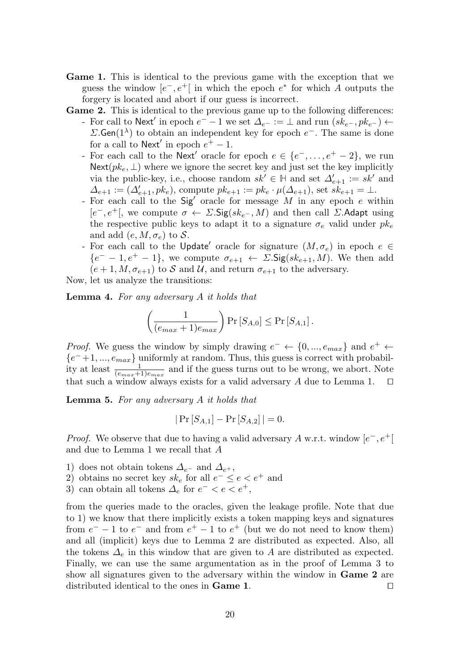- Game 1. This is identical to the previous game with the exception that we guess the window  $[e^-, e^+]$  in which the epoch  $e^*$  for which A outputs the forgery is located and abort if our guess is incorrect.
- Game 2. This is identical to the previous game up to the following differences: - For call to Next' in epoch  $e^-$  – 1 we set  $\Delta_{e^-} := \perp$  and run  $(sk_{e^-}, p k_{e^-}) \leftarrow$  $\Sigma$ **.Gen**(1<sup> $\lambda$ </sup>) to obtain an independent key for epoch  $e^-$ . The same is done for a call to  $\mathsf{Next}'$  in epoch  $e^+ - 1$ .
	- For each call to the Next' oracle for epoch  $e \in \{e^-, \ldots, e^+ 2\}$ , we run  $\textsf{Next}(pk_e, \perp)$  where we ignore the secret key and just set the key implicitly via the public-key, i.e., choose random  $sk' \in \mathbb{H}$  and set  $\Delta'_{e+1} := sk'$  and  $\Delta_{e+1} := (\Delta'_{e+1}, pk_e)$ , compute  $pk_{e+1} := pk_e \cdot \mu(\Delta_{e+1})$ , set  $sk_{e+1} = \bot$ .
	- For each call to the  $Sig'$  oracle for message M in any epoch e within  $[e^-, e^+]$ , we compute  $\sigma \leftarrow \Sigma \cdot \text{Sig}(sk_{e^-}, M)$  and then call  $\Sigma$ . Adapt using the respective public keys to adapt it to a signature  $\sigma_e$  valid under  $pk_e$ and add  $(e, M, \sigma_e)$  to S.
	- For each call to the Update' oracle for signature  $(M, \sigma_e)$  in epoch  $e \in$  ${e^- - 1, e^+ - 1}$ , we compute  $\sigma_{e+1} \leftarrow \Sigma \cdot \text{Sig}(sk_{e+1}, M)$ . We then add  $(e+1, M, \sigma_{e+1})$  to S and U, and return  $\sigma_{e+1}$  to the adversary.

Now, let us analyze the transitions:

Lemma 4. For any adversary A it holds that

$$
\left(\frac{1}{(e_{max}+1)e_{max}}\right) \Pr\left[S_{A,0}\right] \le \Pr\left[S_{A,1}\right].
$$

*Proof.* We guess the window by simply drawing  $e^- \leftarrow \{0, ..., e_{max}\}\$  and  $e^+ \leftarrow$  ${e^-+1,...,e_{max}}$  uniformly at random. Thus, this guess is correct with probability at least  $\frac{1}{(e_{max}+1)e_{max}}$  and if the guess turns out to be wrong, we abort. Note that such a window always exists for a valid adversary  $A$  due to Lemma [1.](#page-16-1)  $\square$ 

**Lemma 5.** For any adversary  $A$  it holds that

$$
|\Pr\left[S_{A,1}\right] - \Pr\left[S_{A,2}\right]| = 0.
$$

*Proof.* We observe that due to having a valid adversary A w.r.t. window  $[e^-, e^+]$ and due to Lemma [1](#page-16-1) we recall that A

- 1) does not obtain tokens  $\Delta_{e^-}$  and  $\Delta_{e^+}$ ,
- 2) obtains no secret key  $sk_e$  for all  $e^- \le e < e^+$  and
- 3) can obtain all tokens  $\Delta_e$  for  $e^- < e < e^+$ ,

from the queries made to the oracles, given the leakage profile. Note that due to 1) we know that there implicitly exists a token mapping keys and signatures from  $e^-$  – 1 to  $e^-$  and from  $e^+$  – 1 to  $e^+$  (but we do not need to know them) and all (implicit) keys due to Lemma [2](#page-16-0) are distributed as expected. Also, all the tokens  $\Delta_e$  in this window that are given to A are distributed as expected. Finally, we can use the same argumentation as in the proof of Lemma [3](#page-17-0) to show all signatures given to the adversary within the window in Game 2 are distributed identical to the ones in **Game 1**.  $\Box$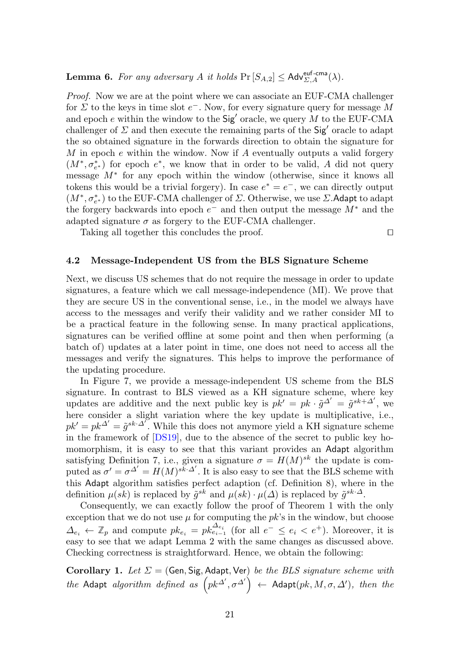**Lemma 6.** For any adversary A it holds  $Pr[S_{A,2}] \leq Adv_{\Sigma,A}^{euf-cma}(\lambda)$ .

Proof. Now we are at the point where we can associate an EUF-CMA challenger for  $\Sigma$  to the keys in time slot  $e^-$ . Now, for every signature query for message M and epoch  $e$  within the window to the  $\text{Sig}'$  oracle, we query M to the EUF-CMA challenger of  $\Sigma$  and then execute the remaining parts of the Sig<sup>'</sup> oracle to adapt the so obtained signature in the forwards direction to obtain the signature for M in epoch  $e$  within the window. Now if  $A$  eventually outputs a valid forgery  $(M^*, \sigma_{e^*}^*)$  for epoch  $e^*$ , we know that in order to be valid, A did not query message M<sup>∗</sup> for any epoch within the window (otherwise, since it knows all tokens this would be a trivial forgery). In case  $e^* = e^-$ , we can directly output  $(M^*,\sigma^*_{e^*})$  to the EUF-CMA challenger of  $\Sigma.$  Otherwise, we use  $\Sigma.$  Adapt to adapt the forgery backwards into epoch  $e^-$  and then output the message  $M^*$  and the adapted signature  $\sigma$  as forgery to the EUF-CMA challenger.

Taking all together this concludes the proof.  $\Box$ 

### <span id="page-20-0"></span>4.2 Message-Independent US from the BLS Signature Scheme

Next, we discuss US schemes that do not require the message in order to update signatures, a feature which we call message-independence (MI). We prove that they are secure US in the conventional sense, i.e., in the model we always have access to the messages and verify their validity and we rather consider MI to be a practical feature in the following sense. In many practical applications, signatures can be verified offline at some point and then when performing (a batch of) updates at a later point in time, one does not need to access all the messages and verify the signatures. This helps to improve the performance of the updating procedure.

In Figure [7,](#page-21-0) we provide a message-independent US scheme from the BLS signature. In contrast to BLS viewed as a KH signature scheme, where key updates are additive and the next public key is  $p k' = p k \cdot \tilde{g}^{\Delta'} = \tilde{g}^{sk+\Delta'}$ , we here consider a slight variation where the key update is multiplicative, i.e.,  $pk' = pk^{\Delta'} = \tilde{g}^{sk\cdot \Delta'}$ . While this does not anymore yield a KH signature scheme in the framework of [\[DS19\]](#page-31-2), due to the absence of the secret to public key homomorphism, it is easy to see that this variant provides an Adapt algorithm satisfying Definition [7,](#page-8-2) i.e., given a signature  $\sigma = H(M)^{sk}$  the update is computed as  $\sigma' = \sigma^{\Delta'} = H(M)^{sk \cdot \Delta'}$ . It is also easy to see that the BLS scheme with this Adapt algorithm satisfies perfect adaption (cf. Definition [8\)](#page-8-1), where in the definition  $\mu(sk)$  is replaced by  $\tilde{g}^{sk}$  and  $\mu(sk) \cdot \mu(\Delta)$  is replaced by  $\tilde{g}^{sk \cdot \Delta}$ .

Consequently, we can exactly follow the proof of Theorem [1](#page-15-3) with the only exception that we do not use  $\mu$  for computing the  $pk$ 's in the window, but choose  $\Delta_{e_i} \leftarrow \mathbb{Z}_p$  and compute  $pk_{e_i} = pk_{e_{i-1}}^{\Delta_{e_i}}$  (for all  $e^- \leq e_i \leq e^+$ ). Moreover, it is easy to see that we adapt Lemma [2](#page-16-0) with the same changes as discussed above. Checking correctness is straightforward. Hence, we obtain the following:

Corollary 1. Let  $\Sigma = (Gen, Sig, Adapt, Ver)$  be the BLS signature scheme with the Adapt algorithm defined as  $\left( pk^{\Delta'}, \sigma^{\Delta'} \right)$   $\leftarrow$  Adapt $(pk, M, \sigma, \Delta')$ , then the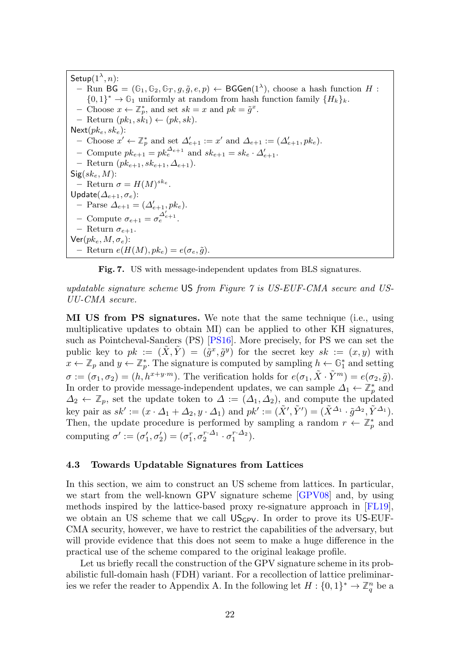$\mathsf{Setup}(1^\lambda,n)$ : – Run BG =  $(\mathbb{G}_1, \mathbb{G}_2, \mathbb{G}_T, g, \tilde{g}, e, p)$  ← BGGen(1<sup> $λ$ </sup>), choose a hash function  $H$  :  $\{0,1\}^* \to \mathbb{G}_1$  uniformly at random from hash function family  $\{H_k\}_k$ . - Choose  $x \leftarrow \mathbb{Z}_p^*$ , and set  $sk = x$  and  $pk = \tilde{g}^x$ . – Return  $(pk_1, sk_1) \leftarrow (pk, sk)$ .  $Next(pk_e, sk_e):$ - Choose  $x' \leftarrow \mathbb{Z}_p^*$  and set  $\Delta'_{e+1} := x'$  and  $\Delta_{e+1} := (\Delta'_{e+1}, pk_e)$ . - Compute  $pk_{e+1} = pk_e^{\Delta_{e+1}}$  and  $sk_{e+1} = sk_e \cdot \Delta'_{e+1}$ . – Return  $(pk_{e+1}, sk_{e+1}, \Delta_{e+1})$ .  $Sig(sk_e, M)$ : - Return  $\sigma = H(M)^{s k_e}$ . Update $(\varDelta_{e+1},\sigma_{e})$ : - Parse  $\Delta_{e+1} = (\Delta'_{e+1}, p k_e).$ – Compute  $\sigma_{e+1} = \sigma_e^{\Delta'_{e+1}}$ . – Return  $\sigma_{e+1}$ .  $\mathsf{Ver}(pk_e, M, \sigma_e)$ : – Return  $e(H(M), p k_e) = e(\sigma_e, \tilde{q})$ .

<span id="page-21-0"></span>Fig. 7. US with message-independent updates from BLS signatures.

updatable signature scheme US from Figure [7](#page-21-0) is US-EUF-CMA secure and US-UU-CMA secure.

MI US from PS signatures. We note that the same technique (i.e., using multiplicative updates to obtain MI) can be applied to other KH signatures, such as Pointcheval-Sanders (PS) [\[PS16\]](#page-33-9). More precisely, for PS we can set the public key to  $pk := (\tilde{X}, \tilde{Y}) = (\tilde{g}^x, \tilde{g}^y)$  for the secret key  $sk := (x, y)$  with  $x \leftarrow \mathbb{Z}_p$  and  $y \leftarrow \mathbb{Z}_p^*$ . The signature is computed by sampling  $h \leftarrow \mathbb{G}_1^*$  and setting  $\sigma := (\sigma_1, \sigma_2) = (h, h^{x+y+m})$ . The verification holds for  $e(\sigma_1, \tilde{X} \cdot \tilde{Y}^m) = e(\sigma_2, \tilde{g})$ . In order to provide message-independent updates, we can sample  $\Delta_1 \leftarrow \mathbb{Z}_p^*$  and  $\Delta_2 \leftarrow \mathbb{Z}_p$ , set the update token to  $\Delta := (\Delta_1, \Delta_2)$ , and compute the updated key pair as  $sk':=(x \cdot \Delta_1 + \Delta_2, y \cdot \Delta_1)$  and  $pk':=(\tilde{X}', \tilde{Y}')=(\tilde{X}^{\Delta_1} \cdot \tilde{g}^{\Delta_2}, \tilde{Y}^{\Delta_1})$ . Then, the update procedure is performed by sampling a random  $r \leftarrow \mathbb{Z}_p^*$  and computing  $\sigma' := (\sigma'_1, \sigma'_2) = (\sigma_1^r, \sigma_2^{r \cdot \Delta_1} \cdot \sigma_1^{r \cdot \Delta_2}).$ 

## <span id="page-21-1"></span>4.3 Towards Updatable Signatures from Lattices

In this section, we aim to construct an US scheme from lattices. In particular, we start from the well-known GPV signature scheme [\[GPV08\]](#page-32-12) and, by using methods inspired by the lattice-based proxy re-signature approach in [\[FL19\]](#page-31-11), we obtain an US scheme that we call  $US_{GPV}$ . In order to prove its US-EUF-CMA security, however, we have to restrict the capabilities of the adversary, but will provide evidence that this does not seem to make a huge difference in the practical use of the scheme compared to the original leakage profile.

Let us briefly recall the construction of the GPV signature scheme in its probabilistic full-domain hash (FDH) variant. For a recollection of lattice preliminar-ies we refer the reader to Appendix [A.](#page-34-0) In the following let  $H: \{0,1\}^* \to \mathbb{Z}_q^n$  be a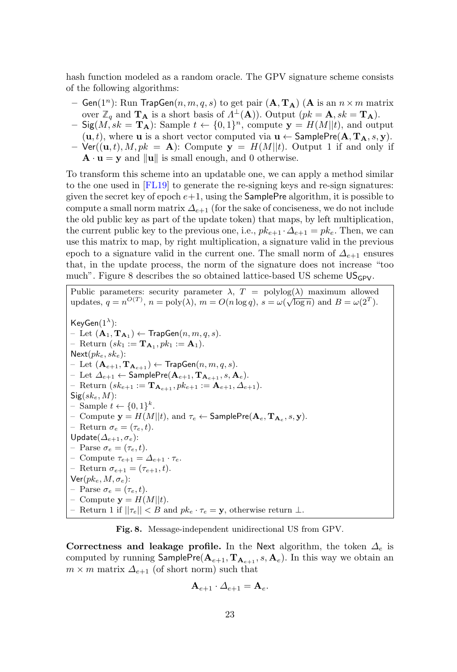hash function modeled as a random oracle. The GPV signature scheme consists of the following algorithms:

- Gen(1<sup>n</sup>): Run TrapGen( $n, m, q, s$ ) to get pair ( $\mathbf{A}, \mathbf{T_A}$ ) ( $\mathbf{A}$  is an  $n \times m$  matrix over  $\mathbb{Z}_q$  and  $\mathbf{T}_\mathbf{A}$  is a short basis of  $\Lambda^{\perp}(\mathbf{A})$ ). Output  $(pk = \mathbf{A}, sk = \mathbf{T}_\mathbf{A})$ .
- $-$  Sig( $M, sk = \mathbf{T_A}$ ): Sample  $t \leftarrow \{0, 1\}^n$ , compute  $\mathbf{y} = H(M||t)$ , and output  $(u, t)$ , where **u** is a short vector computed via  $u \leftarrow$  SamplePre $(A, T_A, s, y)$ .
- $\mathsf{Ver}((\mathbf{u}, t), M, pk = \mathbf{A})$ : Compute  $\mathbf{y} = H(M||t)$ . Output 1 if and only if  $\mathbf{A} \cdot \mathbf{u} = \mathbf{y}$  and  $\|\mathbf{u}\|$  is small enough, and 0 otherwise.

To transform this scheme into an updatable one, we can apply a method similar to the one used in [\[FL19\]](#page-31-11) to generate the re-signing keys and re-sign signatures: given the secret key of epoch  $e+1$ , using the **SamplePre** algorithm, it is possible to compute a small norm matrix  $\Delta_{e+1}$  (for the sake of conciseness, we do not include the old public key as part of the update token) that maps, by left multiplication, the current public key to the previous one, i.e.,  $pk_{e+1} \cdot \Delta_{e+1} = pk_e$ . Then, we can use this matrix to map, by right multiplication, a signature valid in the previous epoch to a signature valid in the current one. The small norm of  $\Delta_{e+1}$  ensures that, in the update process, the norm of the signature does not increase "too much". Figure [8](#page-22-0) describes the so obtained lattice-based US scheme  $US_{GPV}$ .

Public parameters: security parameter  $\lambda$ ,  $T = \text{polylog}(\lambda)$  maximum allowed r ubnc parameters: security parameter  $\lambda$ ,  $T = \text{polylog}(\lambda)$  maximum anowed<br>updates,  $q = n^{O(T)}$ ,  $n = \text{poly}(\lambda)$ ,  $m = O(n \log q)$ ,  $s = \omega(\sqrt{\log n})$  and  $B = \omega(2^T)$ .  $KeyGen(1^{\lambda})$ :  $-$  Let  $(\mathbf{A}_1, \mathbf{T_{A_1}}) \leftarrow \mathsf{TrapGen}(n, m, q, s).$ - Return  $(sk_1 := \mathbf{T}_{\mathbf{A}_1}, p k_1 := \mathbf{A}_1).$  $Next(pk_e, sk_e):$ – Let  $(\mathbf{A}_{e+1}, \mathbf{T}_{\mathbf{A}_{e+1}})$  ← TrapGen $(n, m, q, s)$ . – Let  $\Delta_{e+1}$  ← SamplePre $(\mathbf{A}_{e+1}, \mathbf{T}_{\mathbf{A}_{e+1}}, s, \mathbf{A}_{e})$ . – Return (s $k_{e+1} :=$ **T**<sub>A<sub>e+1</sub></sub>,  $pk_{e+1} :=$ **A**<sub>e+1</sub>, ∆<sub>e+1</sub>).  $Sig(sk_e, M)$ : – Sample  $t \leftarrow \{0, 1\}^k$ . - Compute  $\mathbf{y} = H(M||t)$ , and  $\tau_e \leftarrow$  SamplePre $(\mathbf{A}_e, \mathbf{T}_{\mathbf{A}_e}, s, \mathbf{y})$ . – Return  $\sigma_e = (\tau_e, t)$ . Update $(\varDelta_{e+1},\sigma_e)$ : – Parse  $\sigma_e = (\tau_e, t)$ . – Compute  $\tau_{e+1} = \Delta_{e+1} \cdot \tau_e$ . – Return  $\sigma_{e+1} = (\tau_{e+1}, t)$ .  $\mathsf{Ver}(pk_e, M, \sigma_e)$ : – Parse  $\sigma_e = (\tau_e, t)$ . – Compute  $y = H(M||t)$ . – Return 1 if  $||\tau_e|| < B$  and  $pk_e \cdot \tau_e = \mathbf{y}$ , otherwise return  $\bot$ .

<span id="page-22-0"></span>Fig. 8. Message-independent unidirectional US from GPV.

Correctness and leakage profile. In the Next algorithm, the token  $\Delta_e$  is computed by running  $\mathsf{SamplePre}(\mathbf{A}_{e+1}, \mathbf{T}_{\mathbf{A}_{e+1}}, s, \mathbf{A}_e)$ . In this way we obtain an  $m \times m$  matrix  $\Delta_{e+1}$  (of short norm) such that

$$
\mathbf{A}_{e+1} \cdot \mathbf{\Delta}_{e+1} = \mathbf{A}_e.
$$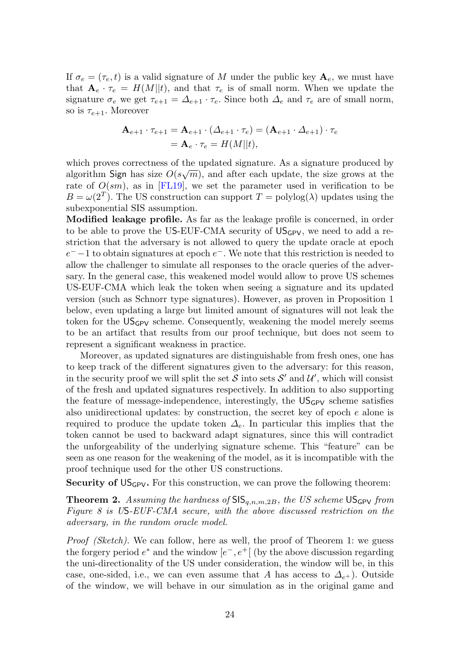If  $\sigma_e = (\tau_e, t)$  is a valid signature of M under the public key  $\mathbf{A}_e$ , we must have that  $\mathbf{A}_e \cdot \tau_e = H(M||t)$ , and that  $\tau_e$  is of small norm. When we update the signature  $\sigma_e$  we get  $\tau_{e+1} = \Delta_{e+1} \cdot \tau_e$ . Since both  $\Delta_e$  and  $\tau_e$  are of small norm, so is  $\tau_{e+1}$ . Moreover

$$
\mathbf{A}_{e+1} \cdot \tau_{e+1} = \mathbf{A}_{e+1} \cdot (\Delta_{e+1} \cdot \tau_e) = (\mathbf{A}_{e+1} \cdot \Delta_{e+1}) \cdot \tau_e
$$
  
=  $\mathbf{A}_e \cdot \tau_e = H(M||t),$ 

which proves correctness of the updated signature. As a signature produced by  $\sim$ algorithm Sign has size  $O(s\sqrt{m})$ , and after each update, the size grows at the rate of  $O(sm)$ , as in [\[FL19\]](#page-31-11), we set the parameter used in verification to be  $B = \omega(2^T)$ . The US construction can support  $T = \text{polylog}(\lambda)$  updates using the subexponential SIS assumption.

Modified leakage profile. As far as the leakage profile is concerned, in order to be able to prove the US-EUF-CMA security of  $US_{GPV}$ , we need to add a restriction that the adversary is not allowed to query the update oracle at epoch  $e^-$  –1 to obtain signatures at epoch  $e^-$ . We note that this restriction is needed to allow the challenger to simulate all responses to the oracle queries of the adversary. In the general case, this weakened model would allow to prove US schemes US-EUF-CMA which leak the token when seeing a signature and its updated version (such as Schnorr type signatures). However, as proven in Proposition [1](#page-24-0) below, even updating a large but limited amount of signatures will not leak the token for the  $US_{GPV}$  scheme. Consequently, weakening the model merely seems to be an artifact that results from our proof technique, but does not seem to represent a significant weakness in practice.

Moreover, as updated signatures are distinguishable from fresh ones, one has to keep track of the different signatures given to the adversary: for this reason, in the security proof we will split the set S into sets  $S'$  and  $\mathcal{U}'$ , which will consist of the fresh and updated signatures respectively. In addition to also supporting the feature of message-independence, interestingly, the  $US_{GPV}$  scheme satisfies also unidirectional updates: by construction, the secret key of epoch  $e$  alone is required to produce the update token  $\Delta_e$ . In particular this implies that the token cannot be used to backward adapt signatures, since this will contradict the unforgeability of the underlying signature scheme. This "feature" can be seen as one reason for the weakening of the model, as it is incompatible with the proof technique used for the other US constructions.

<span id="page-23-0"></span>**Security of**  $US_{GPV}$ **.** For this construction, we can prove the following theorem:

**Theorem 2.** Assuming the hardness of  $\text{SIS}_{q,n,m,2B}$ , the US scheme  $\text{US}_{\text{GPV}}$  from Figure [8](#page-22-0) is US-EUF-CMA secure, with the above discussed restriction on the adversary, in the random oracle model.

*Proof (Sketch)*. We can follow, here as well, the proof of Theorem [1:](#page-15-3) we guess the forgery period  $e^*$  and the window  $[e^-, e^+]$  (by the above discussion regarding the uni-directionality of the US under consideration, the window will be, in this case, one-sided, i.e., we can even assume that A has access to  $\Delta_{e^+}$ ). Outside of the window, we will behave in our simulation as in the original game and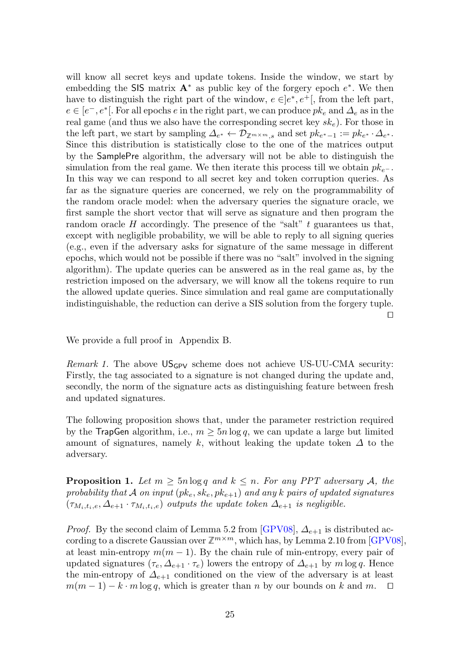will know all secret keys and update tokens. Inside the window, we start by embedding the SIS matrix  $A^*$  as public key of the forgery epoch  $e^*$ . We then have to distinguish the right part of the window,  $e \in ]e^*, e^+[$ , from the left part,  $e \in [e^-, e^*]$ . For all epochs e in the right part, we can produce  $pk_e$  and  $\Delta_e$  as in the real game (and thus we also have the corresponding secret key  $sk_e$ ). For those in the left part, we start by sampling  $\Delta_{e^*} \leftarrow \mathcal{D}_{\mathbb{Z}^{m \times m},s}$  and set  $pk_{e^*-1} := pk_{e^*} \cdot \Delta_{e^*}.$ Since this distribution is statistically close to the one of the matrices output by the SamplePre algorithm, the adversary will not be able to distinguish the simulation from the real game. We then iterate this process till we obtain  $pk_{e^-}$ . In this way we can respond to all secret key and token corruption queries. As far as the signature queries are concerned, we rely on the programmability of the random oracle model: when the adversary queries the signature oracle, we first sample the short vector that will serve as signature and then program the random oracle  $H$  accordingly. The presence of the "salt"  $t$  guarantees us that, except with negligible probability, we will be able to reply to all signing queries (e.g., even if the adversary asks for signature of the same message in different epochs, which would not be possible if there was no "salt" involved in the signing algorithm). The update queries can be answered as in the real game as, by the restriction imposed on the adversary, we will know all the tokens require to run the allowed update queries. Since simulation and real game are computationally indistinguishable, the reduction can derive a SIS solution from the forgery tuple.  $\Box$ 

We provide a full proof in Appendix [B.](#page-36-0)

*Remark 1.* The above  $US_{GPV}$  scheme does not achieve US-UU-CMA security: Firstly, the tag associated to a signature is not changed during the update and, secondly, the norm of the signature acts as distinguishing feature between fresh and updated signatures.

The following proposition shows that, under the parameter restriction required by the TrapGen algorithm, i.e.,  $m > 5n \log q$ , we can update a large but limited amount of signatures, namely k, without leaking the update token  $\Delta$  to the adversary.

<span id="page-24-0"></span>**Proposition 1.** Let  $m \geq 5n \log q$  and  $k \leq n$ . For any PPT adversary A, the probability that A on input  $(pk_e, sk_e, pk_{e+1})$  and any k pairs of updated signatures  $(\tau_{M_i,t_i,e}, \Delta_{e+1} \cdot \tau_{M_i,t_i,e})$  outputs the update token  $\Delta_{e+1}$  is negligible.

*Proof.* By the second claim of Lemma 5.2 from [\[GPV08\]](#page-32-12),  $\Delta_{e+1}$  is distributed according to a discrete Gaussian over  $\mathbb{Z}^{m \times m}$ , which has, by Lemma 2.10 from [\[GPV08\]](#page-32-12), at least min-entropy  $m(m - 1)$ . By the chain rule of min-entropy, every pair of updated signatures  $(\tau_e, \Delta_{e+1} \cdot \tau_e)$  lowers the entropy of  $\Delta_{e+1}$  by m log q. Hence the min-entropy of  $\Delta_{e+1}$  conditioned on the view of the adversary is at least  $m(m-1) - k \cdot m \log q$ , which is greater than n by our bounds on k and m.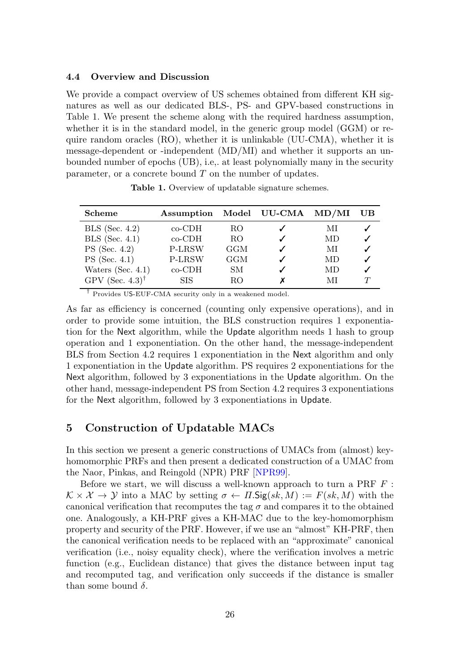#### <span id="page-25-0"></span>4.4 Overview and Discussion

We provide a compact overview of US schemes obtained from different KH signatures as well as our dedicated BLS-, PS- and GPV-based constructions in Table [1.](#page-25-1) We present the scheme along with the required hardness assumption, whether it is in the standard model, in the generic group model (GGM) or require random oracles (RO), whether it is unlinkable (UU-CMA), whether it is message-dependent or -independent (MD/MI) and whether it supports an unbounded number of epochs (UB), i.e,. at least polynomially many in the security parameter, or a concrete bound  $T$  on the number of updates.

| <b>Scheme</b>                  | Assumption    |     | Model UU-CMA | MD/MI | UВ |
|--------------------------------|---------------|-----|--------------|-------|----|
| $BLS$ (Sec. 4.2)               | co-CDH        | RO. |              | МI    |    |
| $BLS$ (Sec. 4.1)               | $co-CDH$      | RO. |              | MD    |    |
| $PS$ (Sec. 4.2)                | P-LRSW        | GGM |              | МI    |    |
| $PS$ (Sec. 4.1)                | <b>P-LRSW</b> | GGM |              | MD    |    |
| Waters (Sec. $4.1$ )           | $co$ -CDH     | SМ  |              | MD    |    |
| GPV (Sec. $4.3$ ) <sup>†</sup> | <b>SIS</b>    | RΟ  |              | МI    |    |

<span id="page-25-1"></span>Table 1. Overview of updatable signature schemes.

† Provides US-EUF-CMA security only in a weakened model.

As far as efficiency is concerned (counting only expensive operations), and in order to provide some intuition, the BLS construction requires 1 exponentiation for the Next algorithm, while the Update algorithm needs 1 hash to group operation and 1 exponentiation. On the other hand, the message-independent BLS from Section [4.2](#page-20-0) requires 1 exponentiation in the Next algorithm and only 1 exponentiation in the Update algorithm. PS requires 2 exponentiations for the Next algorithm, followed by 3 exponentiations in the Update algorithm. On the other hand, message-independent PS from Section [4.2](#page-20-0) requires 3 exponentiations for the Next algorithm, followed by 3 exponentiations in Update.

## 5 Construction of Updatable MACs

In this section we present a generic constructions of UMACs from (almost) keyhomomorphic PRFs and then present a dedicated construction of a UMAC from the Naor, Pinkas, and Reingold (NPR) PRF [\[NPR99\]](#page-33-10).

Before we start, we will discuss a well-known approach to turn a PRF  $F$ :  $\mathcal{K} \times \mathcal{X} \to \mathcal{Y}$  into a MAC by setting  $\sigma \leftarrow \Pi$ . Sig(sk, M) :=  $F$ (sk, M) with the canonical verification that recomputes the tag  $\sigma$  and compares it to the obtained one. Analogously, a KH-PRF gives a KH-MAC due to the key-homomorphism property and security of the PRF. However, if we use an "almost" KH-PRF, then the canonical verification needs to be replaced with an "approximate" canonical verification (i.e., noisy equality check), where the verification involves a metric function (e.g., Euclidean distance) that gives the distance between input tag and recomputed tag, and verification only succeeds if the distance is smaller than some bound  $\delta$ .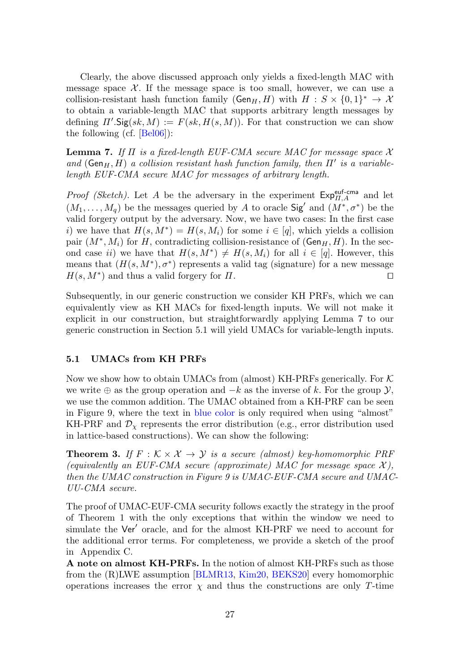Clearly, the above discussed approach only yields a fixed-length MAC with message space  $\mathcal{X}$ . If the message space is too small, however, we can use a collision-resistant hash function family ( $Gen_H, H$ ) with  $H : S \times \{0,1\}^* \to X$ to obtain a variable-length MAC that supports arbitrary length messages by defining  $\Pi'$ . Sig(sk,  $M$ ) :=  $F(sk, H(s, M))$ . For that construction we can show the following (cf. [\[Bel06\]](#page-30-13)):

<span id="page-26-0"></span>**Lemma 7.** If  $\Pi$  is a fixed-length EUF-CMA secure MAC for message space X and ( $Gen_H, H$ ) a collision resistant hash function family, then  $\Pi'$  is a variablelength EUF-CMA secure MAC for messages of arbitrary length.

*Proof (Sketch)*. Let A be the adversary in the experiment  $Exp_{\Pi,A}^{euf-cma}$  and let  $(M_1, \ldots, M_q)$  be the messages queried by A to oracle Sig' and  $(M^*, \sigma^*)$  be the valid forgery output by the adversary. Now, we have two cases: In the first case i) we have that  $H(s, M^*) = H(s, M_i)$  for some  $i \in [q]$ , which yields a collision pair  $(M^*, M_i)$  for H, contradicting collision-resistance of  $(\mathsf{Gen}_H, H)$ . In the second case ii) we have that  $H(s, M^*) \neq H(s, M_i)$  for all  $i \in [q]$ . However, this means that  $(H(s, M^*), \sigma^*)$  represents a valid tag (signature) for a new message  $H(s, M^*)$  and thus a valid forgery for  $\Pi$ .

Subsequently, in our generic construction we consider KH PRFs, which we can equivalently view as KH MACs for fixed-length inputs. We will not make it explicit in our construction, but straightforwardly applying Lemma [7](#page-26-0) to our generic construction in Section [5.1](#page-26-1) will yield UMACs for variable-length inputs.

### <span id="page-26-1"></span>5.1 UMACs from KH PRFs

Now we show how to obtain UMACs from (almost) KH-PRFs generically. For  $K$ we write  $\oplus$  as the group operation and  $-k$  as the inverse of k. For the group  $\mathcal{Y},$ we use the common addition. The UMAC obtained from a KH-PRF can be seen in Figure [9,](#page-27-0) where the text in blue color is only required when using "almost" KH-PRF and  $\mathcal{D}_{\chi}$  represents the error distribution (e.g., error distribution used in lattice-based constructions). We can show the following:

<span id="page-26-2"></span>**Theorem 3.** If  $F : K \times X \rightarrow Y$  is a secure (almost) key-homomorphic PRF (equivalently an EUF-CMA secure (approximate) MAC for message space  $\mathcal{X}$ ), then the UMAC construction in Figure [9](#page-27-0) is UMAC-EUF-CMA secure and UMAC-UU-CMA secure.

The proof of UMAC-EUF-CMA security follows exactly the strategy in the proof of Theorem [1](#page-15-3) with the only exceptions that within the window we need to simulate the Ver' oracle, and for the almost KH-PRF we need to account for the additional error terms. For completeness, we provide a sketch of the proof in Appendix [C.](#page-39-0)

A note on almost KH-PRFs. In the notion of almost KH-PRFs such as those from the (R)LWE assumption [\[BLMR13,](#page-30-2) [Kim20,](#page-32-7) [BEKS20\]](#page-30-4) every homomorphic operations increases the error  $\chi$  and thus the constructions are only T-time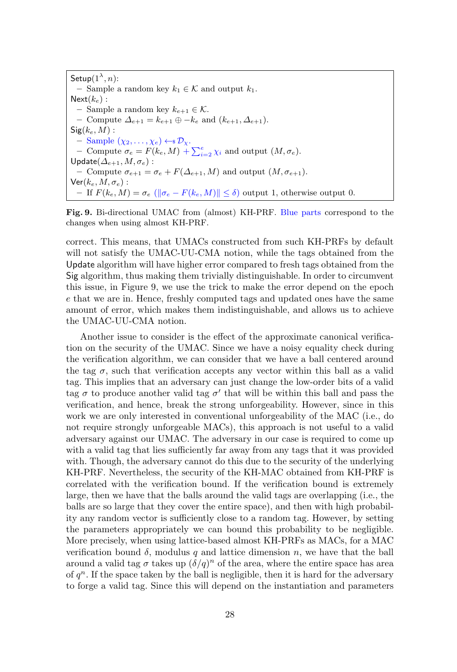$\mathsf{Setup}(1^\lambda,n)$ : – Sample a random key  $k_1 \in \mathcal{K}$  and output  $k_1$ .  $Next(k_e)$ : – Sample a random key  $k_{e+1} \in \mathcal{K}$ . – Compute  $\Delta_{e+1} = k_{e+1} \oplus -k_e$  and  $(k_{e+1}, \Delta_{e+1})$ .  $Sig(k_e, M)$  :  $-$  Sample  $(\chi_2, \ldots, \chi_e) \leftarrow \mathcal{D}_\chi$ . - Compute  $\sigma_e = F(k_e, M) + \sum_{i=2}^{e} \chi_i$  and output  $(M, \sigma_e)$ . Update $(\Delta_{e+1}, M, \sigma_e)$ : – Compute  $\sigma_{e+1} = \sigma_e + F(\Delta_{e+1}, M)$  and output  $(M, \sigma_{e+1})$ .  $\mathsf{Ver}(k_e, M, \sigma_e)$  : – If  $F(k_e, M) = \sigma_e \left( \|\sigma_e - F(k_e, M)\| \le \delta \right)$  output 1, otherwise output 0.

<span id="page-27-0"></span>Fig. 9. Bi-directional UMAC from (almost) KH-PRF. Blue parts correspond to the changes when using almost KH-PRF.

correct. This means, that UMACs constructed from such KH-PRFs by default will not satisfy the UMAC-UU-CMA notion, while the tags obtained from the Update algorithm will have higher error compared to fresh tags obtained from the Sig algorithm, thus making them trivially distinguishable. In order to circumvent this issue, in Figure [9,](#page-27-0) we use the trick to make the error depend on the epoch e that we are in. Hence, freshly computed tags and updated ones have the same amount of error, which makes them indistinguishable, and allows us to achieve the UMAC-UU-CMA notion.

Another issue to consider is the effect of the approximate canonical verification on the security of the UMAC. Since we have a noisy equality check during the verification algorithm, we can consider that we have a ball centered around the tag  $\sigma$ , such that verification accepts any vector within this ball as a valid tag. This implies that an adversary can just change the low-order bits of a valid tag  $\sigma$  to produce another valid tag  $\sigma'$  that will be within this ball and pass the verification, and hence, break the strong unforgeability. However, since in this work we are only interested in conventional unforgeability of the MAC (i.e., do not require strongly unforgeable MACs), this approach is not useful to a valid adversary against our UMAC. The adversary in our case is required to come up with a valid tag that lies sufficiently far away from any tags that it was provided with. Though, the adversary cannot do this due to the security of the underlying KH-PRF. Nevertheless, the security of the KH-MAC obtained from KH-PRF is correlated with the verification bound. If the verification bound is extremely large, then we have that the balls around the valid tags are overlapping (i.e., the balls are so large that they cover the entire space), and then with high probability any random vector is sufficiently close to a random tag. However, by setting the parameters appropriately we can bound this probability to be negligible. More precisely, when using lattice-based almost KH-PRFs as MACs, for a MAC verification bound  $\delta$ , modulus q and lattice dimension n, we have that the ball around a valid tag  $\sigma$  takes up  $(\delta/q)^n$  of the area, where the entire space has area of  $q^n$ . If the space taken by the ball is negligible, then it is hard for the adversary to forge a valid tag. Since this will depend on the instantiation and parameters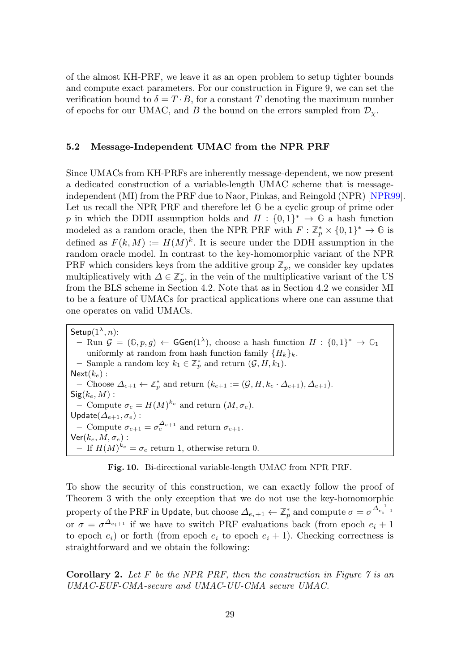of the almost KH-PRF, we leave it as an open problem to setup tighter bounds and compute exact parameters. For our construction in Figure [9,](#page-27-0) we can set the verification bound to  $\delta = T \cdot B$ , for a constant T denoting the maximum number of epochs for our UMAC, and B the bound on the errors sampled from  $\mathcal{D}_{\gamma}$ .

### <span id="page-28-0"></span>5.2 Message-Independent UMAC from the NPR PRF

Since UMACs from KH-PRFs are inherently message-dependent, we now present a dedicated construction of a variable-length UMAC scheme that is messageindependent (MI) from the PRF due to Naor, Pinkas, and Reingold (NPR) [\[NPR99\]](#page-33-10). Let us recall the NPR PRF and therefore let **G** be a cyclic group of prime oder p in which the DDH assumption holds and  $H: \{0,1\}^* \to \mathbb{G}$  a hash function modeled as a random oracle, then the NPR PRF with  $F: \mathbb{Z}_p^* \times \{0,1\}^* \to \mathbb{G}$  is defined as  $F(k, M) := H(M)^k$ . It is secure under the DDH assumption in the random oracle model. In contrast to the key-homomorphic variant of the NPR PRF which considers keys from the additive group  $\mathbb{Z}_p$ , we consider key updates multiplicatively with  $\Delta \in \mathbb{Z}_p^*$ , in the vein of the multiplicative variant of the US from the BLS scheme in Section [4.2.](#page-20-0) Note that as in Section [4.2](#page-20-0) we consider MI to be a feature of UMACs for practical applications where one can assume that one operates on valid UMACs.

Setup $(1^{\lambda}, n)$ :  $-$  Run  $\mathcal{G} = (\mathbb{G}, p, g)$  ← GGen(1<sup>λ</sup>), choose a hash function  $H : \{0, 1\}^*$  →  $\mathbb{G}_1$ uniformly at random from hash function family  $\{H_k\}_k$ . − Sample a random key  $k_1 \in \mathbb{Z}_p^*$  and return  $(\mathcal{G}, H, k_1)$ .  $Next(k_e)$ : - Choose  $\Delta_{e+1} \leftarrow \mathbb{Z}_p^*$  and return  $(k_{e+1} := (\mathcal{G}, H, k_e \cdot \Delta_{e+1}), \Delta_{e+1}).$  $Sig(k_e, M)$ : - Compute  $\sigma_e = H(M)^{k_e}$  and return  $(M, \sigma_e)$ . Update $(\varDelta_{e+1},\sigma_{e})$ : - Compute  $\sigma_{e+1} = \sigma_e^{\Delta_{e+1}}$  and return  $\sigma_{e+1}$ .  $\mathsf{Ver}(k_e, M, \sigma_e)$  : - If  $H(M)^{k_e} = \sigma_e$  return 1, otherwise return 0.

Fig. 10. Bi-directional variable-length UMAC from NPR PRF.

To show the security of this construction, we can exactly follow the proof of Theorem [3](#page-26-2) with the only exception that we do not use the key-homomorphic property of the PRF in Update, but choose  $\Delta_{e_i+1} \leftarrow \mathbb{Z}_p^*$  and compute  $\sigma = \sigma^{\Delta_{e_i+1}^{-1}}$ or  $\sigma = \sigma^{\Delta_{e_i+1}}$  if we have to switch PRF evaluations back (from epoch  $e_i + 1$ to epoch  $e_i$ ) or forth (from epoch  $e_i$  to epoch  $e_i + 1$ ). Checking correctness is straightforward and we obtain the following:

**Corollary 2.** Let  $F$  be the NPR PRF, then the construction in Figure  $\gamma$  is an UMAC-EUF-CMA-secure and UMAC-UU-CMA secure UMAC.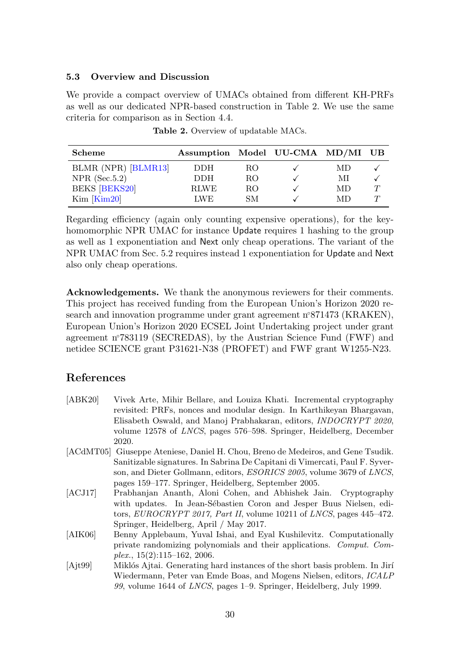#### 5.3 Overview and Discussion

We provide a compact overview of UMACs obtained from different KH-PRFs as well as our dedicated NPR-based construction in Table [2.](#page-29-4) We use the same criteria for comparison as in Section [4.4.](#page-25-0)

| Scheme               | Assumption Model UU-CMA MD/MI UB |     |    |   |
|----------------------|----------------------------------|-----|----|---|
| BLMR (NPR) [BLMR13]  | DDH.                             | RO. | MD |   |
| $NPR$ (Sec.5.2)      | <b>DDH</b>                       | RO. | МI |   |
| <b>BEKS</b> [BEKS20] | <b>RIWE</b>                      | RO. | МĐ | T |
| $Kim$ $Kim20$        | LWE.                             | SМ  | МĐ | T |

<span id="page-29-4"></span>Table 2. Overview of updatable MACs.

Regarding efficiency (again only counting expensive operations), for the keyhomomorphic NPR UMAC for instance Update requires 1 hashing to the group as well as 1 exponentiation and Next only cheap operations. The variant of the NPR UMAC from Sec. [5.2](#page-28-0) requires instead 1 exponentiation for Update and Next also only cheap operations.

Acknowledgements. We thank the anonymous reviewers for their comments. This project has received funding from the European Union's Horizon 2020 research and innovation programme under grant agreement n<sup>°871473</sup> (KRAKEN), European Union's Horizon 2020 ECSEL Joint Undertaking project under grant agreement n◦783119 (SECREDAS), by the Austrian Science Fund (FWF) and netidee SCIENCE grant P31621-N38 (PROFET) and FWF grant W1255-N23.

## References

- <span id="page-29-0"></span>[ABK20] Vivek Arte, Mihir Bellare, and Louiza Khati. Incremental cryptography revisited: PRFs, nonces and modular design. In Karthikeyan Bhargavan, Elisabeth Oswald, and Manoj Prabhakaran, editors, INDOCRYPT 2020, volume 12578 of LNCS, pages 576–598. Springer, Heidelberg, December 2020.
- <span id="page-29-3"></span>[ACdMT05] Giuseppe Ateniese, Daniel H. Chou, Breno de Medeiros, and Gene Tsudik. Sanitizable signatures. In Sabrina De Capitani di Vimercati, Paul F. Syverson, and Dieter Gollmann, editors, ESORICS 2005, volume 3679 of LNCS, pages 159–177. Springer, Heidelberg, September 2005.
- <span id="page-29-1"></span>[ACJ17] Prabhanjan Ananth, Aloni Cohen, and Abhishek Jain. Cryptography with updates. In Jean-Sébastien Coron and Jesper Buus Nielsen, editors, EUROCRYPT 2017, Part II, volume 10211 of LNCS, pages 445-472. Springer, Heidelberg, April / May 2017.
- <span id="page-29-2"></span>[AIK06] Benny Applebaum, Yuval Ishai, and Eyal Kushilevitz. Computationally private randomizing polynomials and their applications. Comput. Com $plex.$ ,  $15(2):115-162$ ,  $2006.$
- <span id="page-29-5"></span>[Ajt99] Miklós Ajtai. Generating hard instances of the short basis problem. In Jirí Wiedermann, Peter van Emde Boas, and Mogens Nielsen, editors, ICALP 99, volume 1644 of LNCS, pages 1–9. Springer, Heidelberg, July 1999.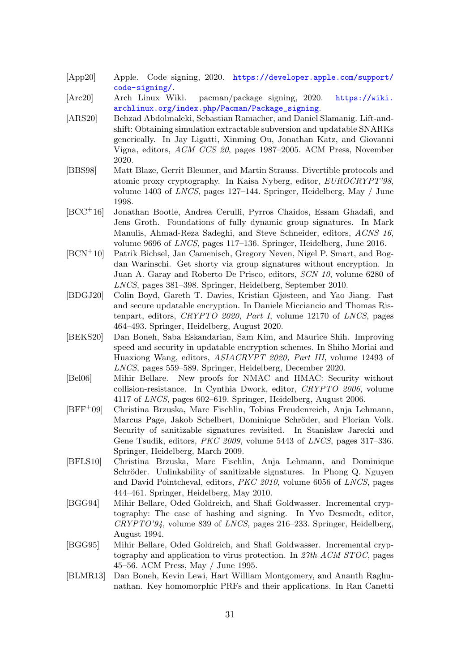- <span id="page-30-6"></span>[App20] Apple. Code signing, 2020. [https://developer.apple.com/support/](https://developer.apple.com/support/code-signing/) [code-signing/](https://developer.apple.com/support/code-signing/).
- <span id="page-30-7"></span>[Arc20] Arch Linux Wiki. pacman/package signing, 2020. [https://wiki.](https://wiki.archlinux.org/index.php/Pacman/Package_signing) [archlinux.org/index.php/Pacman/Package\\_signing](https://wiki.archlinux.org/index.php/Pacman/Package_signing).
- <span id="page-30-5"></span>[ARS20] Behzad Abdolmaleki, Sebastian Ramacher, and Daniel Slamanig. Lift-andshift: Obtaining simulation extractable subversion and updatable SNARKs generically. In Jay Ligatti, Xinming Ou, Jonathan Katz, and Giovanni Vigna, editors, ACM CCS 20, pages 1987–2005. ACM Press, November 2020.
- <span id="page-30-12"></span>[BBS98] Matt Blaze, Gerrit Bleumer, and Martin Strauss. Divertible protocols and atomic proxy cryptography. In Kaisa Nyberg, editor, EUROCRYPT'98, volume 1403 of LNCS, pages 127–144. Springer, Heidelberg, May / June 1998.
- <span id="page-30-10"></span>[BCC<sup>+</sup>16] Jonathan Bootle, Andrea Cerulli, Pyrros Chaidos, Essam Ghadafi, and Jens Groth. Foundations of fully dynamic group signatures. In Mark Manulis, Ahmad-Reza Sadeghi, and Steve Schneider, editors, ACNS 16, volume 9696 of LNCS, pages 117–136. Springer, Heidelberg, June 2016.
- <span id="page-30-11"></span>[BCN<sup>+</sup>10] Patrik Bichsel, Jan Camenisch, Gregory Neven, Nigel P. Smart, and Bogdan Warinschi. Get shorty via group signatures without encryption. In Juan A. Garay and Roberto De Prisco, editors, SCN 10, volume 6280 of LNCS, pages 381–398. Springer, Heidelberg, September 2010.
- <span id="page-30-3"></span>[BDGJ20] Colin Boyd, Gareth T. Davies, Kristian Gjøsteen, and Yao Jiang. Fast and secure updatable encryption. In Daniele Micciancio and Thomas Ristenpart, editors, CRYPTO 2020, Part I, volume 12170 of LNCS, pages 464–493. Springer, Heidelberg, August 2020.
- <span id="page-30-4"></span>[BEKS20] Dan Boneh, Saba Eskandarian, Sam Kim, and Maurice Shih. Improving speed and security in updatable encryption schemes. In Shiho Moriai and Huaxiong Wang, editors, ASIACRYPT 2020, Part III, volume 12493 of LNCS, pages 559–589. Springer, Heidelberg, December 2020.
- <span id="page-30-13"></span>[Bel06] Mihir Bellare. New proofs for NMAC and HMAC: Security without collision-resistance. In Cynthia Dwork, editor, CRYPTO 2006, volume 4117 of LNCS, pages 602–619. Springer, Heidelberg, August 2006.
- <span id="page-30-8"></span>[BFF<sup>+</sup>09] Christina Brzuska, Marc Fischlin, Tobias Freudenreich, Anja Lehmann, Marcus Page, Jakob Schelbert, Dominique Schröder, and Florian Volk. Security of sanitizable signatures revisited. In Stanislaw Jarecki and Gene Tsudik, editors, PKC 2009, volume 5443 of LNCS, pages 317–336. Springer, Heidelberg, March 2009.
- <span id="page-30-9"></span>[BFLS10] Christina Brzuska, Marc Fischlin, Anja Lehmann, and Dominique Schröder. Unlinkability of sanitizable signatures. In Phong Q. Nguyen and David Pointcheval, editors, PKC 2010, volume 6056 of LNCS, pages 444–461. Springer, Heidelberg, May 2010.
- <span id="page-30-0"></span>[BGG94] Mihir Bellare, Oded Goldreich, and Shafi Goldwasser. Incremental cryptography: The case of hashing and signing. In Yvo Desmedt, editor,  $CRYPTO'94$ , volume 839 of *LNCS*, pages 216–233. Springer, Heidelberg, August 1994.
- <span id="page-30-1"></span>[BGG95] Mihir Bellare, Oded Goldreich, and Shafi Goldwasser. Incremental cryptography and application to virus protection. In 27th ACM STOC, pages 45–56. ACM Press, May / June 1995.
- <span id="page-30-2"></span>[BLMR13] Dan Boneh, Kevin Lewi, Hart William Montgomery, and Ananth Raghunathan. Key homomorphic PRFs and their applications. In Ran Canetti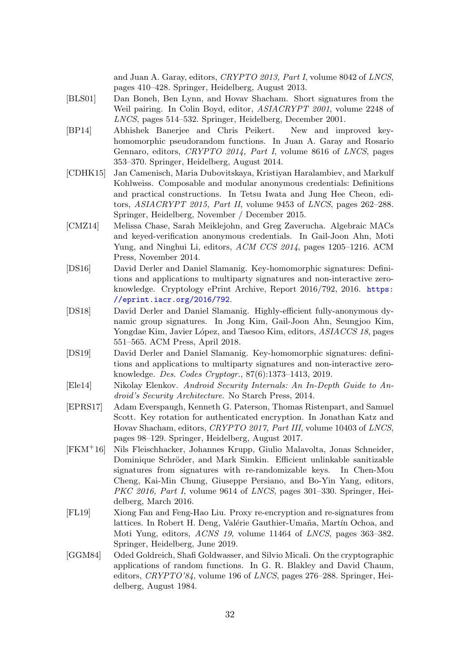and Juan A. Garay, editors, CRYPTO 2013, Part I, volume 8042 of LNCS, pages 410–428. Springer, Heidelberg, August 2013.

- <span id="page-31-8"></span>[BLS01] Dan Boneh, Ben Lynn, and Hovav Shacham. Short signatures from the Weil pairing. In Colin Boyd, editor, ASIACRYPT 2001, volume 2248 of LNCS, pages 514–532. Springer, Heidelberg, December 2001.
- <span id="page-31-3"></span>[BP14] Abhishek Banerjee and Chris Peikert. New and improved keyhomomorphic pseudorandom functions. In Juan A. Garay and Rosario Gennaro, editors, CRYPTO 2014, Part I, volume 8616 of LNCS, pages 353–370. Springer, Heidelberg, August 2014.
- <span id="page-31-5"></span>[CDHK15] Jan Camenisch, Maria Dubovitskaya, Kristiyan Haralambiev, and Markulf Kohlweiss. Composable and modular anonymous credentials: Definitions and practical constructions. In Tetsu Iwata and Jung Hee Cheon, editors,  $ASIACRYPT 2015$ , Part II, volume 9453 of LNCS, pages 262-288. Springer, Heidelberg, November / December 2015.
- <span id="page-31-7"></span>[CMZ14] Melissa Chase, Sarah Meiklejohn, and Greg Zaverucha. Algebraic MACs and keyed-verification anonymous credentials. In Gail-Joon Ahn, Moti Yung, and Ninghui Li, editors, ACM CCS 2014, pages 1205–1216. ACM Press, November 2014.
- <span id="page-31-10"></span>[DS16] David Derler and Daniel Slamanig. Key-homomorphic signatures: Definitions and applications to multiparty signatures and non-interactive zeroknowledge. Cryptology ePrint Archive, Report 2016/792, 2016. [https:](https://eprint.iacr.org/2016/792) [//eprint.iacr.org/2016/792](https://eprint.iacr.org/2016/792).
- <span id="page-31-6"></span>[DS18] David Derler and Daniel Slamanig. Highly-efficient fully-anonymous dynamic group signatures. In Jong Kim, Gail-Joon Ahn, Seungjoo Kim, Yongdae Kim, Javier López, and Taesoo Kim, editors, *ASIACCS 18*, pages 551–565. ACM Press, April 2018.
- <span id="page-31-2"></span>[DS19] David Derler and Daniel Slamanig. Key-homomorphic signatures: definitions and applications to multiparty signatures and non-interactive zeroknowledge. Des. Codes Cryptogr., 87(6):1373–1413, 2019.
- <span id="page-31-4"></span>[Ele14] Nikolay Elenkov. Android Security Internals: An In-Depth Guide to Android's Security Architecture. No Starch Press, 2014.
- <span id="page-31-0"></span>[EPRS17] Adam Everspaugh, Kenneth G. Paterson, Thomas Ristenpart, and Samuel Scott. Key rotation for authenticated encryption. In Jonathan Katz and Hovav Shacham, editors, CRYPTO 2017, Part III, volume 10403 of LNCS, pages 98–129. Springer, Heidelberg, August 2017.
- <span id="page-31-1"></span>[FKM<sup>+</sup>16] Nils Fleischhacker, Johannes Krupp, Giulio Malavolta, Jonas Schneider, Dominique Schröder, and Mark Simkin. Efficient unlinkable sanitizable signatures from signatures with re-randomizable keys. In Chen-Mou Cheng, Kai-Min Chung, Giuseppe Persiano, and Bo-Yin Yang, editors, PKC 2016, Part I, volume 9614 of LNCS, pages 301–330. Springer, Heidelberg, March 2016.
- <span id="page-31-11"></span>[FL19] Xiong Fan and Feng-Hao Liu. Proxy re-encryption and re-signatures from lattices. In Robert H. Deng, Valérie Gauthier-Umaña, Martín Ochoa, and Moti Yung, editors, ACNS 19, volume 11464 of LNCS, pages 363–382. Springer, Heidelberg, June 2019.
- <span id="page-31-9"></span>[GGM84] Oded Goldreich, Shafi Goldwasser, and Silvio Micali. On the cryptographic applications of random functions. In G. R. Blakley and David Chaum, editors, CRYPTO'84, volume 196 of LNCS, pages 276–288. Springer, Heidelberg, August 1984.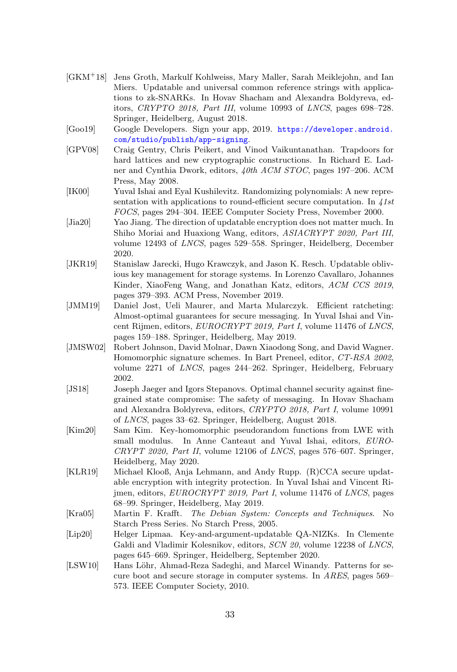- <span id="page-32-1"></span>[GKM<sup>+</sup>18] Jens Groth, Markulf Kohlweiss, Mary Maller, Sarah Meiklejohn, and Ian Miers. Updatable and universal common reference strings with applications to zk-SNARKs. In Hovav Shacham and Alexandra Boldyreva, editors, CRYPTO 2018, Part III, volume 10993 of LNCS, pages 698–728. Springer, Heidelberg, August 2018.
- <span id="page-32-8"></span>[Goo19] Google Developers. Sign your app, 2019. [https://developer.android.](https://developer.android.com/studio/publish/app-signing) [com/studio/publish/app-signing](https://developer.android.com/studio/publish/app-signing).
- <span id="page-32-12"></span>[GPV08] Craig Gentry, Chris Peikert, and Vinod Vaikuntanathan. Trapdoors for hard lattices and new cryptographic constructions. In Richard E. Ladner and Cynthia Dwork, editors, 40th ACM STOC, pages 197–206. ACM Press, May 2008.
- <span id="page-32-0"></span>[IK00] Yuval Ishai and Eyal Kushilevitz. Randomizing polynomials: A new representation with applications to round-efficient secure computation. In  $41st$ FOCS, pages 294–304. IEEE Computer Society Press, November 2000.
- <span id="page-32-13"></span>[Jia20] Yao Jiang. The direction of updatable encryption does not matter much. In Shiho Moriai and Huaxiong Wang, editors, ASIACRYPT 2020, Part III, volume 12493 of LNCS, pages 529–558. Springer, Heidelberg, December 2020.
- <span id="page-32-4"></span>[JKR19] Stanislaw Jarecki, Hugo Krawczyk, and Jason K. Resch. Updatable oblivious key management for storage systems. In Lorenzo Cavallaro, Johannes Kinder, XiaoFeng Wang, and Jonathan Katz, editors, ACM CCS 2019, pages 379–393. ACM Press, November 2019.
- <span id="page-32-6"></span>[JMM19] Daniel Jost, Ueli Maurer, and Marta Mularczyk. Efficient ratcheting: Almost-optimal guarantees for secure messaging. In Yuval Ishai and Vincent Rijmen, editors, EUROCRYPT 2019, Part I, volume 11476 of LNCS, pages 159–188. Springer, Heidelberg, May 2019.
- <span id="page-32-11"></span>[JMSW02] Robert Johnson, David Molnar, Dawn Xiaodong Song, and David Wagner. Homomorphic signature schemes. In Bart Preneel, editor, CT-RSA 2002, volume 2271 of LNCS, pages 244–262. Springer, Heidelberg, February 2002.
- <span id="page-32-5"></span>[JS18] Joseph Jaeger and Igors Stepanovs. Optimal channel security against finegrained state compromise: The safety of messaging. In Hovav Shacham and Alexandra Boldyreva, editors, CRYPTO 2018, Part I, volume 10991 of LNCS, pages 33–62. Springer, Heidelberg, August 2018.
- <span id="page-32-7"></span>[Kim20] Sam Kim. Key-homomorphic pseudorandom functions from LWE with small modulus. In Anne Canteaut and Yuval Ishai, editors, EURO- $CRYPT 2020$ , Part II, volume 12106 of LNCS, pages 576–607. Springer, Heidelberg, May 2020.
- <span id="page-32-3"></span>[KLR19] Michael Klooß, Anja Lehmann, and Andy Rupp. (R)CCA secure updatable encryption with integrity protection. In Yuval Ishai and Vincent Rijmen, editors, EUROCRYPT 2019, Part I, volume 11476 of LNCS, pages 68–99. Springer, Heidelberg, May 2019.
- <span id="page-32-9"></span>[Kra05] Martin F. Krafft. The Debian System: Concepts and Techniques. No Starch Press Series. No Starch Press, 2005.
- <span id="page-32-2"></span>[Lip20] Helger Lipmaa. Key-and-argument-updatable QA-NIZKs. In Clemente Galdi and Vladimir Kolesnikov, editors, SCN 20, volume 12238 of LNCS, pages 645–669. Springer, Heidelberg, September 2020.
- <span id="page-32-10"></span>[LSW10] Hans Löhr, Ahmad-Reza Sadeghi, and Marcel Winandy. Patterns for secure boot and secure storage in computer systems. In ARES, pages 569– 573. IEEE Computer Society, 2010.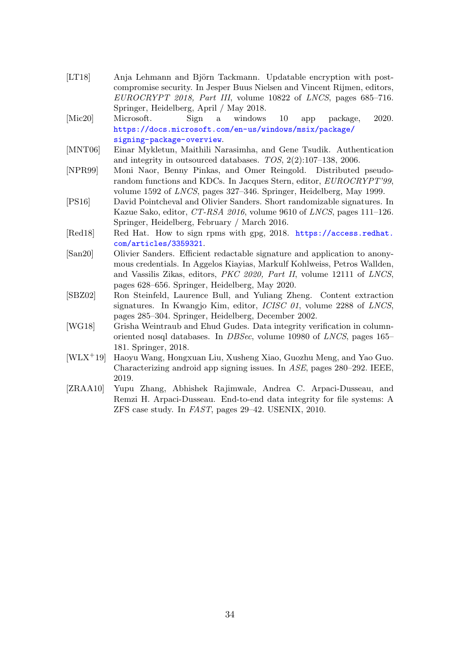- <span id="page-33-0"></span>[LT18] Anja Lehmann and Björn Tackmann. Updatable encryption with postcompromise security. In Jesper Buus Nielsen and Vincent Rijmen, editors,  $EUROCRYPT 2018$ , Part III, volume 10822 of LNCS, pages 685-716. Springer, Heidelberg, April / May 2018.
- <span id="page-33-2"></span>[Mic20] Microsoft. Sign a windows 10 app package, 2020. [https://docs.microsoft.com/en-us/windows/msix/package/](https://docs.microsoft.com/en-us/windows/msix/package/signing-package-overview) [signing-package-overview](https://docs.microsoft.com/en-us/windows/msix/package/signing-package-overview).
- <span id="page-33-5"></span>[MNT06] Einar Mykletun, Maithili Narasimha, and Gene Tsudik. Authentication and integrity in outsourced databases. TOS, 2(2):107–138, 2006.
- <span id="page-33-10"></span>[NPR99] Moni Naor, Benny Pinkas, and Omer Reingold. Distributed pseudorandom functions and KDCs. In Jacques Stern, editor, EUROCRYPT'99, volume 1592 of LNCS, pages 327–346. Springer, Heidelberg, May 1999.
- <span id="page-33-9"></span>[PS16] David Pointcheval and Olivier Sanders. Short randomizable signatures. In Kazue Sako, editor,  $CT-RSA$  2016, volume 9610 of LNCS, pages 111–126. Springer, Heidelberg, February / March 2016.
- <span id="page-33-3"></span>[Red18] Red Hat. How to sign rpms with gpg, 2018. [https://access.redhat.](https://access.redhat.com/articles/3359321) [com/articles/3359321](https://access.redhat.com/articles/3359321).
- <span id="page-33-8"></span>[San20] Olivier Sanders. Efficient redactable signature and application to anonymous credentials. In Aggelos Kiayias, Markulf Kohlweiss, Petros Wallden, and Vassilis Zikas, editors, PKC 2020, Part II, volume 12111 of LNCS, pages 628–656. Springer, Heidelberg, May 2020.
- <span id="page-33-7"></span>[SBZ02] Ron Steinfeld, Laurence Bull, and Yuliang Zheng. Content extraction signatures. In Kwangjo Kim, editor, ICISC 01, volume 2288 of LNCS, pages 285–304. Springer, Heidelberg, December 2002.
- <span id="page-33-6"></span>[WG18] Grisha Weintraub and Ehud Gudes. Data integrity verification in columnoriented nosql databases. In DBSec, volume 10980 of LNCS, pages 165– 181. Springer, 2018.
- <span id="page-33-1"></span>[WLX<sup>+</sup>19] Haoyu Wang, Hongxuan Liu, Xusheng Xiao, Guozhu Meng, and Yao Guo. Characterizing android app signing issues. In ASE, pages 280–292. IEEE, 2019.
- <span id="page-33-4"></span>[ZRAA10] Yupu Zhang, Abhishek Rajimwale, Andrea C. Arpaci-Dusseau, and Remzi H. Arpaci-Dusseau. End-to-end data integrity for file systems: A ZFS case study. In FAST, pages 29–42. USENIX, 2010.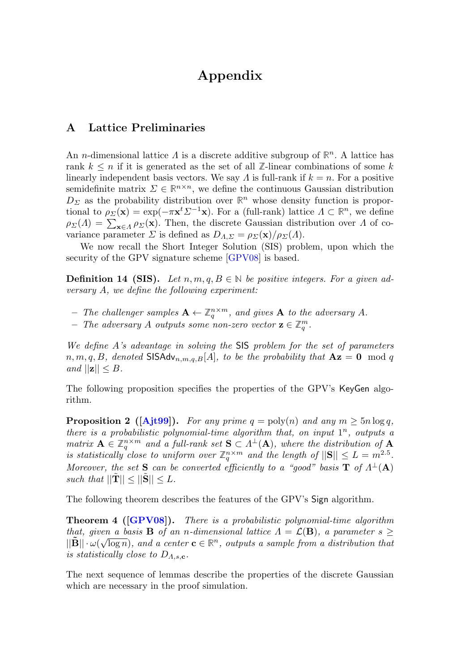## Appendix

## <span id="page-34-0"></span>A Lattice Preliminaries

An n-dimensional lattice Λ is a discrete additive subgroup of **R** <sup>n</sup>. A lattice has rank  $k \leq n$  if it is generated as the set of all  $\mathbb{Z}$ -linear combinations of some k linearly independent basis vectors. We say  $\Lambda$  is full-rank if  $k = n$ . For a positive semidefinite matrix  $\Sigma \in \mathbb{R}^{n \times n}$ , we define the continuous Gaussian distribution  $D_{\Sigma}$  as the probability distribution over  $\mathbb{R}^{n}$  whose density function is proportional to  $\rho_{\Sigma}(\mathbf{x}) = \exp(-\pi \mathbf{x}^t \Sigma^{-1} \mathbf{x})$ . For a (full-rank) lattice  $\Lambda \subset \mathbb{R}^n$ , we define  $\rho_{\Sigma}(\Lambda) = \sum_{\mathbf{x} \in \Lambda} \rho_{\Sigma}(\mathbf{x})$ . Then, the discrete Gaussian distribution over  $\Lambda$  of covariance parameter  $\Sigma$  is defined as  $D_{\Lambda,\Sigma} = \rho_{\Sigma}(\mathbf{x})/\rho_{\Sigma}(\Lambda)$ .

We now recall the Short Integer Solution (SIS) problem, upon which the security of the GPV signature scheme [\[GPV08\]](#page-32-12) is based.

**Definition 14 (SIS).** Let  $n, m, q, B \in \mathbb{N}$  be positive integers. For a given adversary A, we define the following experiment:

- $-$  The challenger samples  $\mathbf{A} \leftarrow \mathbb{Z}_q^{n \times m}$ , and gives **A** to the adversary A.
- − The adversary A outputs some non-zero vector  $\mathbf{z} \in \mathbb{Z}_q^m$ .

We define A's advantage in solving the SIS problem for the set of parameters  $n, m, q, B$ , denoted SISAdv $_{n,m,q,B}[A]$ , to be the probability that  $Az = 0 \mod q$ and  $||\mathbf{z}|| \leq B$ .

<span id="page-34-1"></span>The following proposition specifies the properties of the GPV's KeyGen algorithm.

**Proposition 2** ([\[Ajt99\]](#page-29-5)). For any prime  $q = \text{poly}(n)$  and any  $m \geq 5n \log q$ , there is a probabilistic polynomial-time algorithm that, on input  $1^n$ , outputs a matrix  $\mathbf{A} \in \mathbb{Z}_q^{n \times m}$  and a full-rank set  $\mathbf{S} \subset \Lambda^{\perp}(\mathbf{A})$ , where the distribution of  $\mathbf{A}$ is statistically close to uniform over  $\mathbb{Z}_q^{n \times m}$  and the length of  $||\mathbf{S}|| \leq L = m^{2.5}$ . Moreover, the set **S** can be converted efficiently to a "good" basis **T** of  $\Lambda^{\perp}(A)$ such that  $||\mathbf{T}|| < ||\mathbf{S}|| < L$ .

<span id="page-34-2"></span>The following theorem describes the features of the GPV's Sign algorithm.

**Theorem 4 ([\[GPV08\]](#page-32-12)).** There is a probabilistic polynomial-time algorithm that, given a basis **B** of an n-dimensional lattice  $\Lambda = \mathcal{L}(\mathbf{B})$ , a parameter  $s \geq 0$  $||\tilde{\mathbf{B}}|| \cdot \omega(\sqrt{\log n})$ , and a center  $\mathbf{c} \in \mathbb{R}^n$ , outputs a sample from a distribution that is statistically close to  $D_{A,s,c}$ .

The next sequence of lemmas describe the properties of the discrete Gaussian which are necessary in the proof simulation.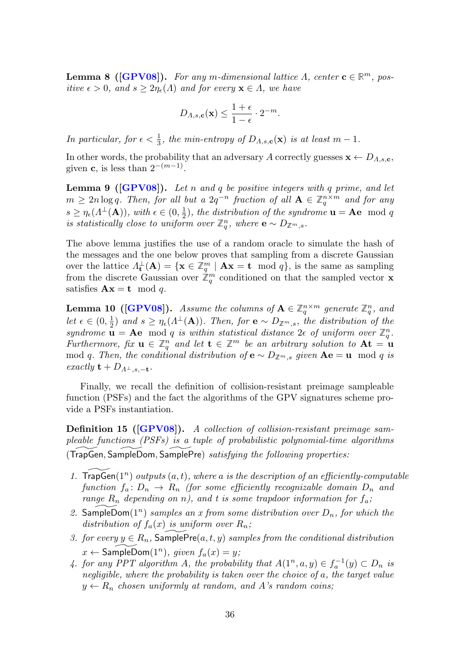**Lemma 8** ([\[GPV08\]](#page-32-12)). For any m-dimensional lattice  $\Lambda$ , center  $\mathbf{c} \in \mathbb{R}^m$ , positive  $\epsilon > 0$ , and  $s \geq 2\eta_{\epsilon}(\Lambda)$  and for every  $\mathbf{x} \in \Lambda$ , we have

$$
D_{A,s,\mathbf{c}}(\mathbf{x}) \le \frac{1+\epsilon}{1-\epsilon} \cdot 2^{-m}.
$$

In particular, for  $\epsilon < \frac{1}{3}$ , the min-entropy of  $D_{\Lambda,s,\mathbf{c}}(\mathbf{x})$  is at least  $m-1$ .

In other words, the probability that an adversary A correctly guesses  $\mathbf{x} \leftarrow D_{A,s,\mathbf{c}}$ , given **c**, is less than  $2^{-(m-1)}$ .

<span id="page-35-0"></span>**Lemma 9** ( $[\text{GPV08}]$ ). Let n and q be positive integers with q prime, and let  $m \geq 2n \log q$ . Then, for all but a  $2q^{-n}$  fraction of all  $\mathbf{A} \in \mathbb{Z}_q^{n \times m}$  and for any  $s \geq \eta_{\epsilon}(\Lambda^{\perp}(\mathbf{A})),$  with  $\epsilon \in (0, \frac{1}{2}),$  the distribution of the syndrome  $\mathbf{u} = \mathbf{A}\mathbf{e}$  mod q is statistically close to uniform over  $\mathbb{Z}_q^n$ , where **e** ∼  $D_{\mathbb{Z}^m,s}$ .

The above lemma justifies the use of a random oracle to simulate the hash of the messages and the one below proves that sampling from a discrete Gaussian over the lattice  $\Lambda_{\mathbf{t}}^{\perp}(\mathbf{A}) = \{ \mathbf{x} \in \mathbb{Z}_q^m \mid \mathbf{A}\mathbf{x} = \mathbf{t} \mod q \}$ , is the same as sampling from the discrete Gaussian over  $\mathbb{Z}_q^m$  conditioned on that the sampled vector **x** satisfies  $\mathbf{A}\mathbf{x} = \mathbf{t} \mod q$ .

**Lemma 10 ([\[GPV08\]](#page-32-12)).** Assume the columns of  $A \in \mathbb{Z}_q^{n \times m}$  generate  $\mathbb{Z}_q^n$ , and let  $\epsilon \in (0, \frac{1}{2})$  and  $s \geq \eta_{\epsilon}(A^{\perp}(\mathbf{A}))$ . Then, for  $\mathbf{e} \sim D_{\mathbb{Z}^m, s}$ , the distribution of the syndrome  $\mathbf{u} = \mathbf{A}\mathbf{e}$  mod q is within statistical distance  $2\epsilon$  of uniform over  $\mathbb{Z}_q^n$ . Furthermore, fix  $\mathbf{u} \in \mathbb{Z}_q^n$  and let  $\mathbf{t} \in \mathbb{Z}^m$  be an arbitrary solution to  $\mathbf{A} \mathbf{t} = \mathbf{u}$ mod q. Then, the conditional distribution of  $\mathbf{e} \sim D_{\mathbb{Z}^m,s}$  given  $\mathbf{A}\mathbf{e} = \mathbf{u} \mod q$  is exactly  $\mathbf{t} + D_{A^{\perp}, s, -\mathbf{t}}$ .

Finally, we recall the definition of collision-resistant preimage sampleable function (PSFs) and the fact the algorithms of the GPV signatures scheme provide a PSFs instantiation.

<span id="page-35-1"></span>**Definition 15 ([\[GPV08\]](#page-32-12)).** A collection of collision-resistant preimage sampleable functions (PSFs) is a tuple of probabilistic polynomial-time algorithms  $(TrapGen, SampleDom, SamplePre)$  satisfying the following properties:

- 1. TrapGen $(1^n)$  outputs  $(a, t)$ , where a is the description of an efficiently-computable function  $f_a: D_n \to R_n$  (for some efficiently recognizable domain  $D_n$  and range  $R_n$  depending on n), and t is some trapdoor information for  $f_a$ ;
- 2. SampleDom $(1^n)$  samples an x from some distribution over  $D_n$ , for which the distribution of  $f_a(x)$  is uniform over  $R_n$ ;
- 3. for every  $y \in R_n$ , SamplePre $(a, t, y)$  samples from the conditional distribution  $x \leftarrow$  SampleDom $(1^n)$ , given  $f_a(x) = y$ ;
- 4. for any PPT algorithm A, the probability that  $A(1^n, a, y) \in f_a^{-1}(y) \subset D_n$  is negligible, where the probability is taken over the choice of a, the target value  $y \leftarrow R_n$  chosen uniformly at random, and A's random coins;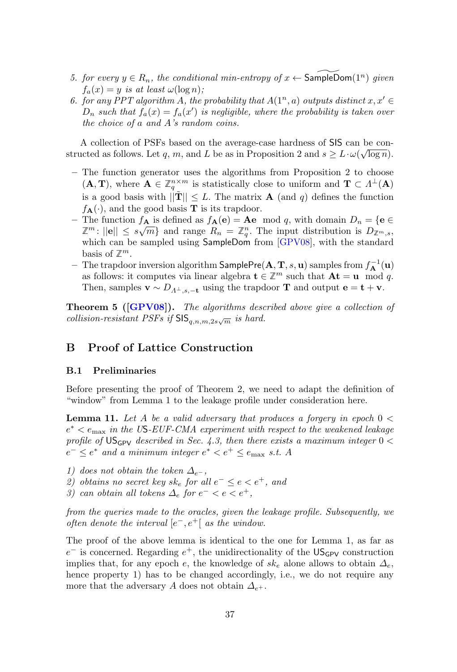- 5. for every  $y \in R_n$ , the conditional min-entropy of  $x \leftarrow$  SampleDom $(1^n)$  given  $f_a(x) = y$  is at least  $\omega(\log n)$ ;
- 6. for any PPT algorithm A, the probability that  $A(1^n, a)$  outputs distinct  $x, x' \in$  $D_n$  such that  $f_a(x) = f_a(x')$  is negligible, where the probability is taken over the choice of a and A's random coins.

A collection of PSFs based on the average-case hardness of SIS can be con-√ structed as follows. Let q, m, and L be as in Proposition [2](#page-34-1) and  $s \geq L \cdot \omega(\sqrt{\log n})$ .

- The function generator uses the algorithms from Proposition [2](#page-34-1) to choose  $(A, T)$ , where  $A \in \mathbb{Z}_q^{n \times m}$  is statistically close to uniform and  $T \subset \Lambda^{\perp}(A)$ is a good basis with  $||\tilde{\mathbf{T}}|| \leq L$ . The matrix **A** (and q) defines the function  $f_{\mathbf{A}}(\cdot)$ , and the good basis **T** is its trapdoor.
- The function  $f_{\mathbf{A}}$  is defined as  $f_{\mathbf{A}}(\mathbf{e}) = \mathbf{A}\mathbf{e} \mod q$ , with domain  $D_n = {\mathbf{e} \in \mathbb{R}^n}$  $\mathbb{Z}^m$ :  $||\mathbf{e}|| \leq s\sqrt{m}$  and range  $R_n = \mathbb{Z}_q^n$ . The input distribution is  $D_{\mathbb{Z}^m,s}$ , which can be sampled using SampleDom from [\[GPV08\]](#page-32-12), with the standard basis of  $\mathbb{Z}^m$ .
- $-$  The trapdoor inversion algorithm  $\mathsf{SamplePre}(\mathbf{A}, \mathbf{T}, s, \mathbf{u})$  samples from  $f_{\mathbf{A}}^{-1}(\mathbf{u})$ as follows: it computes via linear algebra  $\mathbf{t} \in \mathbb{Z}^m$  such that  $\mathbf{At} = \mathbf{u} \mod q$ . Then, samples  $\mathbf{v} \sim D_{\Lambda^{\perp},s,-t}$  using the trapdoor **T** and output  $\mathbf{e} = \mathbf{t} + \mathbf{v}$ .

<span id="page-36-2"></span>**Theorem 5 ([\[GPV08\]](#page-32-12)).** The algorithms described above give a collection of collision-resistant PSFs if  $\mathsf{SIS}_{q,n,m,2s\sqrt{m}}$  is hard.

## <span id="page-36-0"></span>B Proof of Lattice Construction

#### B.1 Preliminaries

<span id="page-36-1"></span>Before presenting the proof of Theorem [2,](#page-23-0) we need to adapt the definition of "window" from Lemma [1](#page-16-1) to the leakage profile under consideration here.

**Lemma 11.** Let A be a valid adversary that produces a forgery in epoch  $0 <$  $e^* < e_{\text{max}}$  in the US-EUF-CMA experiment with respect to the weakened leakage profile of  $US_{GPV}$  described in Sec. [4.3,](#page-21-1) then there exists a maximum integer  $0 <$  $e^- \leq e^*$  and a minimum integer  $e^* < e^+ \leq e_{\text{max}}$  s.t. A

- 1) does not obtain the token  $\Delta_{e^-}$ ,
- 2) obtains no secret key sk<sub>e</sub> for all  $e^- \le e < e^+$ , and
- 3) can obtain all tokens  $\Delta_e$  for  $e^- < e < e^+$ ,

from the queries made to the oracles, given the leakage profile. Subsequently, we often denote the interval  $[e^-, e^+]$  as the window.

The proof of the above lemma is identical to the one for Lemma [1,](#page-16-1) as far as  $e^-$  is concerned. Regarding  $e^+$ , the unidirectionality of the US<sub>GPV</sub> construction implies that, for any epoch e, the knowledge of  $sk_e$  alone allows to obtain  $\Delta_e$ , hence property 1) has to be changed accordingly, i.e., we do not require any more that the adversary A does not obtain  $\Delta_{e^+}$ .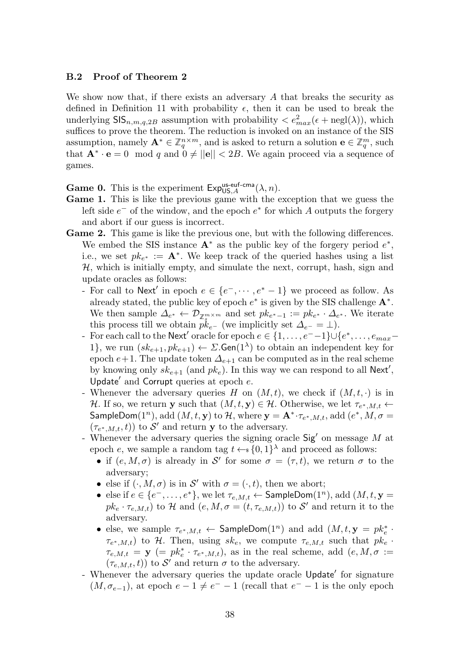#### B.2 Proof of Theorem [2](#page-23-0)

We show now that, if there exists an adversary  $A$  that breaks the security as defined in Definition [11](#page-14-1) with probability  $\epsilon$ , then it can be used to break the underlying  $\text{SIS}_{n,m,q,2B}$  assumption with probability  $\langle e_{max}^2(\epsilon + \text{negl}(\lambda)),$  which suffices to prove the theorem. The reduction is invoked on an instance of the SIS assumption, namely  $\mathbf{A}^* \in \mathbb{Z}_q^{n \times m}$ , and is asked to return a solution  $\mathbf{e} \in \mathbb{Z}_q^m$ , such that  $\mathbf{A}^* \cdot \mathbf{e} = 0 \mod q$  and  $0 \neq ||\mathbf{e}|| < 2B$ . We again proceed via a sequence of games.

**Game 0.** This is the experiment  $Exp_{US,A}^{\text{us-euf-cma}}(\lambda, n)$ .

- Game 1. This is like the previous game with the exception that we guess the left side  $e^-$  of the window, and the epoch  $e^*$  for which A outputs the forgery and abort if our guess is incorrect.
- Game 2. This game is like the previous one, but with the following differences. We embed the SIS instance  $A^*$  as the public key of the forgery period  $e^*$ , i.e., we set  $pk_{e^*} := \mathbf{A}^*$ . We keep track of the queried hashes using a list  $H$ , which is initially empty, and simulate the next, corrupt, hash, sign and update oracles as follows:
	- For call to Next' in epoch  $e \in \{e^-,\dots, e^*-1\}$  we proceed as follow. As already stated, the public key of epoch  $e^*$  is given by the SIS challenge  $A^*$ . We then sample  $\Delta_{e^*} \leftarrow \mathcal{D}_{\mathbb{Z}_{s}^{m \times m}}$  and set  $pk_{e^*-1} := pk_{e^*} \cdot \Delta_{e^*}$ . We iterate this process till we obtain  $p\bar{k}_{e^-}$  (we implicitly set  $\Delta_{e^-} = \bot$ ).
	- For each call to the Next' oracle for epoch  $e \in \{1, \ldots, e^{--}1\} \cup \{e^*, \ldots, e_{max} -$ 1, we run  $(sk_{e+1}, pk_{e+1}) \leftarrow \Sigma$ . Gen(1<sup> $\lambda$ </sup>) to obtain an independent key for epoch  $e+1$ . The update token  $\Delta_{e+1}$  can be computed as in the real scheme by knowing only  $sk_{e+1}$  (and  $pk_e$ ). In this way we can respond to all Next', Update' and Corrupt queries at epoch  $e$ .
	- Whenever the adversary queries H on  $(M, t)$ , we check if  $(M, t, \cdot)$  is in H. If so, we return y such that  $(M, t, y) \in \mathcal{H}$ . Otherwise, we let  $\tau_{e^*, M, t} \leftarrow$ SampleDom $(1^n)$ , add  $(M, t, y)$  to  $H$ , where  $y = A^* \cdot \tau_{e^*, M, t}$ , add  $(e^*, M, \sigma =$  $(\tau_{e^*,M,t},t))$  to  $\mathcal{S}'$  and return y to the adversary.
	- Whenever the adversary queries the signing oracle  $\operatorname{Sig}'$  on message M at epoch e, we sample a random tag  $t \leftarrow s \{0, 1\}^{\lambda}$  and proceed as follows:
		- if  $(e, M, \sigma)$  is already in S' for some  $\sigma = (\tau, t)$ , we return  $\sigma$  to the adversary;
		- else if  $(\cdot, M, \sigma)$  is in S' with  $\sigma = (\cdot, t)$ , then we abort;
		- else if  $e \in \{e^-, \ldots, e^*\}$ , we let  $\tau_{e,M,t} \leftarrow$  SampleDom $(1^n)$ , add  $(M, t, y =$  $pk_e \cdot \tau_{e,M,t}$ ) to H and  $(e, M, \sigma = (t, \tau_{e,M,t}))$  to S' and return it to the adversary.
		- else, we sample  $\tau_{e^*,M,t} \leftarrow$  SampleDom $(1^n)$  and add  $(M,t,y = pk_e^*$ .  $\tau_{e^*,M,t}$ ) to H. Then, using  $sk_e$ , we compute  $\tau_{e,M,t}$  such that  $pk_e$ .  $\tau_{e,M,t} = \mathbf{y}$  (=  $pk_e^* \cdot \tau_{e^*,M,t}$ ), as in the real scheme, add  $(e, M, \sigma)$  :=  $(\tau_{e,M,t}, t)$ ) to S' and return  $\sigma$  to the adversary.
	- Whenever the adversary queries the update oracle Update' for signature  $(M, \sigma_{e-1})$ , at epoch  $e-1 \neq e^- - 1$  (recall that  $e^- - 1$  is the only epoch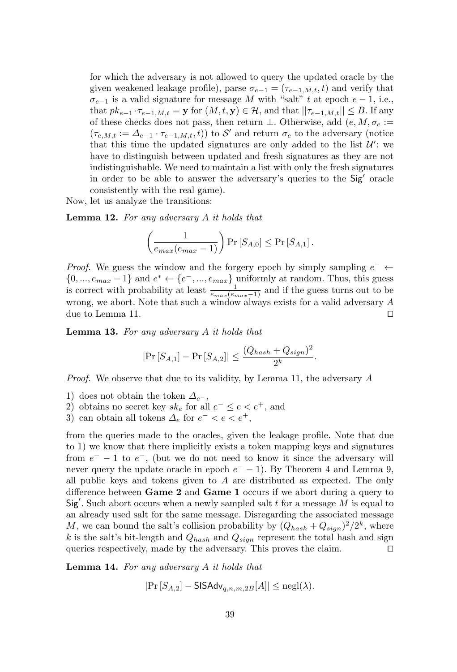for which the adversary is not allowed to query the updated oracle by the given weakened leakage profile), parse  $\sigma_{e-1} = (\tau_{e-1,M,t}, t)$  and verify that  $\sigma_{e-1}$  is a valid signature for message M with "salt" t at epoch  $e-1$ , i.e., that  $pk_{e-1} \cdot \tau_{e-1,M,t} = \mathbf{y}$  for  $(M, t, \mathbf{y}) \in \mathcal{H}$ , and that  $||\tau_{e-1,M,t}|| \leq B$ . If any of these checks does not pass, then return  $\bot$ . Otherwise, add  $(e, M, \sigma_e :=$  $(\tau_{e,M,t} := \Delta_{e-1} \cdot \tau_{e-1,M,t}, t)$  to S' and return  $\sigma_e$  to the adversary (notice that this time the updated signatures are only added to the list  $\mathcal{U}'$ : we have to distinguish between updated and fresh signatures as they are not indistinguishable. We need to maintain a list with only the fresh signatures in order to be able to answer the adversary's queries to the Sig' oracle consistently with the real game).

Now, let us analyze the transitions:

Lemma 12. For any adversary A it holds that

$$
\left(\frac{1}{e_{max}(e_{max}-1)}\right) \Pr\left[S_{A,0}\right] \leq \Pr\left[S_{A,1}\right].
$$

*Proof.* We guess the window and the forgery epoch by simply sampling  $e^- \leftarrow$  $\{0, ..., e_{max} - 1\}$  and  $e^* \leftarrow \{e^-, ..., e_{max}\}$  uniformly at random. Thus, this guess is correct with probability at least  $\frac{1}{e_{max}(e_{max}-1)}$  and if the guess turns out to be wrong, we abort. Note that such a window always exists for a valid adversary A due to Lemma [11.](#page-36-1)  $\Box$ 

Lemma 13. For any adversary A it holds that

$$
|\Pr[S_{A,1}] - \Pr[S_{A,2}]| \leq \frac{(Q_{hash} + Q_{sign})^2}{2^k}.
$$

Proof. We observe that due to its validity, by Lemma [11,](#page-36-1) the adversary A

- 1) does not obtain the token  $\Delta_{e^-}$ ,
- 2) obtains no secret key  $sk_e$  for all  $e^- \leq e < e^+$ , and
- 3) can obtain all tokens  $\Delta_e$  for  $e^- < e < e^+$ ,

from the queries made to the oracles, given the leakage profile. Note that due to 1) we know that there implicitly exists a token mapping keys and signatures from  $e^-$  – 1 to  $e^-$ , (but we do not need to know it since the adversary will never query the update oracle in epoch  $e^-$  – 1). By Theorem [4](#page-34-2) and Lemma [9,](#page-35-0) all public keys and tokens given to  $A$  are distributed as expected. The only difference between Game 2 and Game 1 occurs if we abort during a query to  $Sig'$ . Such abort occurs when a newly sampled salt t for a message  $M$  is equal to an already used salt for the same message. Disregarding the associated message M, we can bound the salt's collision probability by  $(Q_{hash} + Q_{sign})^2/2^k$ , where k is the salt's bit-length and  $Q_{hash}$  and  $Q_{sign}$  represent the total hash and sign queries respectively, made by the adversary. This proves the claim.  $\Box$ 

Lemma 14. For any adversary A it holds that

$$
|\Pr\left[S_{A,2}\right] - \mathsf{SISAdv}_{q,n,m,2B}[A]| \le \mathrm{negl}(\lambda).
$$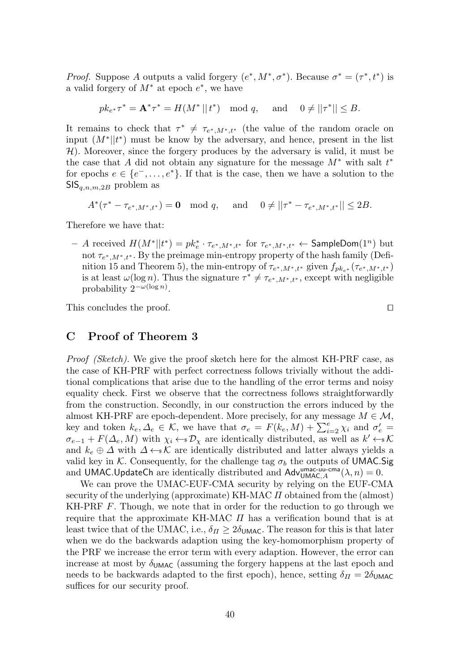*Proof.* Suppose A outputs a valid forgery  $(e^*, M^*, \sigma^*)$ . Because  $\sigma^* = (\tau^*, t^*)$  is a valid forgery of  $M^*$  at epoch  $e^*$ , we have

$$
pk_{e^*}\tau^* = \mathbf{A}^*\tau^* = H(M^*||t^*) \mod q, \quad \text{ and } \quad 0 \neq ||\tau^*|| \leq B.
$$

It remains to check that  $\tau^* \neq \tau_{e^*,M^*,t^*}$  (the value of the random oracle on input  $(M^*||t^*)$  must be know by the adversary, and hence, present in the list  $H$ ). Moreover, since the forgery produces by the adversary is valid, it must be the case that A did not obtain any signature for the message  $M^*$  with salt  $t^*$ for epochs  $e \in \{e^-, \ldots, e^*\}$ . If that is the case, then we have a solution to the  $\mathsf{SIS}_{q,n,m,2B}$  problem as

 $A^*(\tau^* - \tau_{e^*,M^*,t^*}) = \mathbf{0} \mod q$ , and  $0 \neq ||\tau^* - \tau_{e^*,M^*,t^*}|| \leq 2B$ .

Therefore we have that:

 $-$  A received  $H(M^*||t^*) = p k_e^* \cdot τ_{e^*,M^*,t^*}$  for  $τ_{e^*,M^*,t^*}$  ← SampleDom $(1^n)$  but not  $\tau_{e^*,M^*,t^*}$ . By the preimage min-entropy property of the hash family (Defi-nition [15](#page-35-1) and Theorem [5\)](#page-36-2), the min-entropy of  $\tau_{e^*,M^*,t^*}$  given  $f_{pk_{e^*}}(\tau_{e^*,M^*,t^*})$ is at least  $\omega(\log n)$ . Thus the signature  $\tau^* \neq \tau_{e^*,M^*,t^*}$ , except with negligible probability  $2^{-\omega(\log n)}$ .

This concludes the proof.  $\Box$ 

## <span id="page-39-0"></span>C Proof of Theorem [3](#page-26-2)

Proof (Sketch). We give the proof sketch here for the almost KH-PRF case, as the case of KH-PRF with perfect correctness follows trivially without the additional complications that arise due to the handling of the error terms and noisy equality check. First we observe that the correctness follows straightforwardly from the construction. Secondly, in our construction the errors induced by the almost KH-PRF are epoch-dependent. More precisely, for any message  $M \in \mathcal{M}$ , key and token  $k_e, \Delta_e \in \mathcal{K}$ , we have that  $\sigma_e = F(k_e, M) + \sum_{i=2}^e \chi_i$  and  $\sigma'_e =$  $\sigma_{e-1} + F(\Delta_e, M)$  with  $\chi_i \leftarrow \mathcal{D}_{\chi}$  are identically distributed, as well as  $k' \leftarrow \mathcal{K}$ and  $k_e \oplus \Delta$  with  $\Delta \leftarrow \mathcal{K}$  are identically distributed and latter always yields a valid key in K. Consequently, for the challenge tag  $\sigma_b$  the outputs of UMAC. Sig and UMAC.UpdateCh are identically distributed and  $\mathsf{Adv}^{\mathsf{umac-uu-cma}}_{\mathsf{UMAC},A}(\lambda,n)=0.$ 

We can prove the UMAC-EUF-CMA security by relying on the EUF-CMA security of the underlying (approximate) KH-MAC  $\Pi$  obtained from the (almost) KH-PRF  $F$ . Though, we note that in order for the reduction to go through we require that the approximate KH-MAC  $\Pi$  has a verification bound that is at least twice that of the UMAC, i.e.,  $\delta_H \geq 2\delta_{\text{UMAC}}$ . The reason for this is that later when we do the backwards adaption using the key-homomorphism property of the PRF we increase the error term with every adaption. However, the error can increase at most by  $\delta_{UMAC}$  (assuming the forgery happens at the last epoch and needs to be backwards adapted to the first epoch), hence, setting  $\delta_{II} = 2\delta_{UMAC}$ suffices for our security proof.